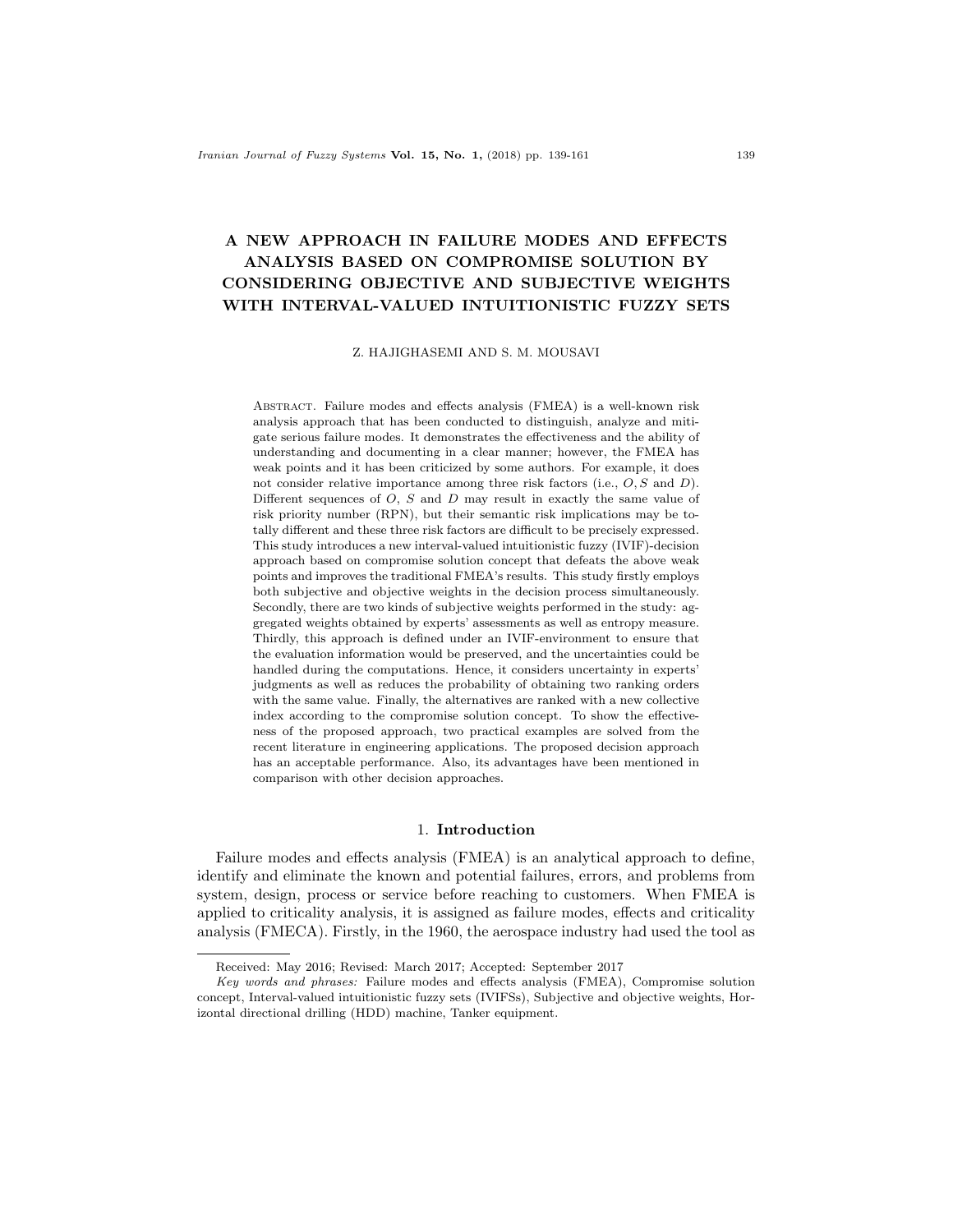# A NEW APPROACH IN FAILURE MODES AND EFFECTS ANALYSIS BASED ON COMPROMISE SOLUTION BY CONSIDERING OBJECTIVE AND SUBJECTIVE WEIGHTS WITH INTERVAL-VALUED INTUITIONISTIC FUZZY SETS

Z. HAJIGHASEMI AND S. M. MOUSAVI

Abstract. Failure modes and effects analysis (FMEA) is a well-known risk analysis approach that has been conducted to distinguish, analyze and mitigate serious failure modes. It demonstrates the effectiveness and the ability of understanding and documenting in a clear manner; however, the FMEA has weak points and it has been criticized by some authors. For example, it does not consider relative importance among three risk factors (i.e.,  $O, S$  and  $D$ ). Different sequences of  $O$ ,  $S$  and  $D$  may result in exactly the same value of risk priority number (RPN), but their semantic risk implications may be totally different and these three risk factors are difficult to be precisely expressed. This study introduces a new interval-valued intuitionistic fuzzy (IVIF)-decision approach based on compromise solution concept that defeats the above weak points and improves the traditional FMEA's results. This study firstly employs both subjective and objective weights in the decision process simultaneously. Secondly, there are two kinds of subjective weights performed in the study: aggregated weights obtained by experts' assessments as well as entropy measure. Thirdly, this approach is defined under an IVIF-environment to ensure that the evaluation information would be preserved, and the uncertainties could be handled during the computations. Hence, it considers uncertainty in experts' judgments as well as reduces the probability of obtaining two ranking orders with the same value. Finally, the alternatives are ranked with a new collective index according to the compromise solution concept. To show the effectiveness of the proposed approach, two practical examples are solved from the recent literature in engineering applications. The proposed decision approach has an acceptable performance. Also, its advantages have been mentioned in comparison with other decision approaches.

### 1. Introduction

Failure modes and effects analysis (FMEA) is an analytical approach to define, identify and eliminate the known and potential failures, errors, and problems from system, design, process or service before reaching to customers. When FMEA is applied to criticality analysis, it is assigned as failure modes, effects and criticality analysis (FMECA). Firstly, in the 1960, the aerospace industry had used the tool as

Received: May 2016; Revised: March 2017; Accepted: September 2017

Key words and phrases: Failure modes and effects analysis (FMEA), Compromise solution concept, Interval-valued intuitionistic fuzzy sets (IVIFSs), Subjective and objective weights, Horizontal directional drilling (HDD) machine, Tanker equipment.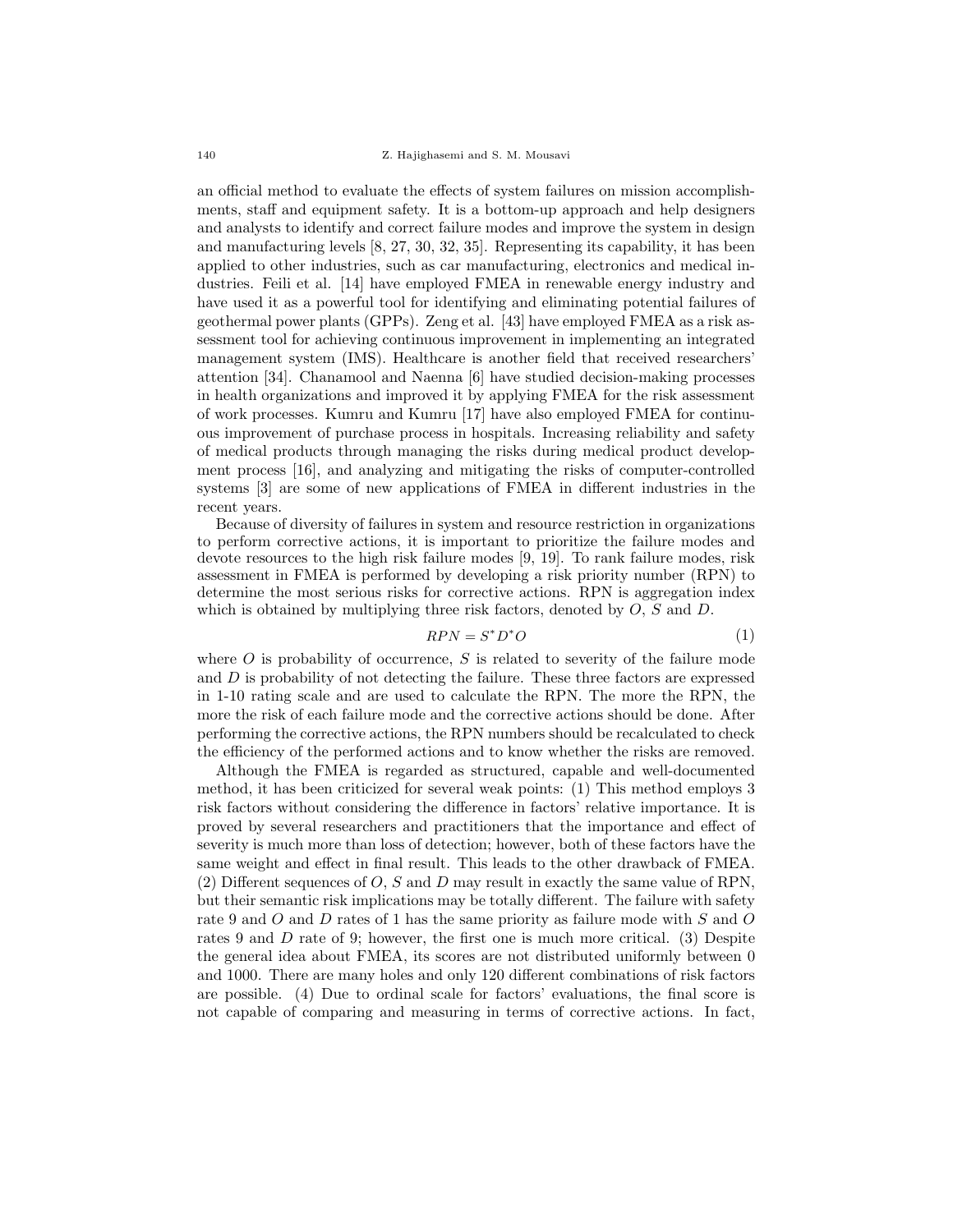an official method to evaluate the effects of system failures on mission accomplishments, staff and equipment safety. It is a bottom-up approach and help designers and analysts to identify and correct failure modes and improve the system in design and manufacturing levels [8, 27, 30, 32, 35]. Representing its capability, it has been applied to other industries, such as car manufacturing, electronics and medical industries. Feili et al. [14] have employed FMEA in renewable energy industry and have used it as a powerful tool for identifying and eliminating potential failures of geothermal power plants (GPPs). Zeng et al. [43] have employed FMEA as a risk assessment tool for achieving continuous improvement in implementing an integrated management system (IMS). Healthcare is another field that received researchers' attention [34]. Chanamool and Naenna [6] have studied decision-making processes in health organizations and improved it by applying FMEA for the risk assessment of work processes. Kumru and Kumru [17] have also employed FMEA for continuous improvement of purchase process in hospitals. Increasing reliability and safety of medical products through managing the risks during medical product development process [16], and analyzing and mitigating the risks of computer-controlled systems [3] are some of new applications of FMEA in different industries in the recent years.

Because of diversity of failures in system and resource restriction in organizations to perform corrective actions, it is important to prioritize the failure modes and devote resources to the high risk failure modes [9, 19]. To rank failure modes, risk assessment in FMEA is performed by developing a risk priority number (RPN) to determine the most serious risks for corrective actions. RPN is aggregation index which is obtained by multiplying three risk factors, denoted by  $O, S$  and  $D$ .

$$
RPN = S^*D^*O \tag{1}
$$

where  $O$  is probability of occurrence,  $S$  is related to severity of the failure mode and  $D$  is probability of not detecting the failure. These three factors are expressed in 1-10 rating scale and are used to calculate the RPN. The more the RPN, the more the risk of each failure mode and the corrective actions should be done. After performing the corrective actions, the RPN numbers should be recalculated to check the efficiency of the performed actions and to know whether the risks are removed.

Although the FMEA is regarded as structured, capable and well-documented method, it has been criticized for several weak points: (1) This method employs 3 risk factors without considering the difference in factors' relative importance. It is proved by several researchers and practitioners that the importance and effect of severity is much more than loss of detection; however, both of these factors have the same weight and effect in final result. This leads to the other drawback of FMEA. (2) Different sequences of  $O$ ,  $S$  and  $D$  may result in exactly the same value of RPN, but their semantic risk implications may be totally different. The failure with safety rate 9 and O and D rates of 1 has the same priority as failure mode with S and O rates 9 and D rate of 9; however, the first one is much more critical. (3) Despite the general idea about FMEA, its scores are not distributed uniformly between 0 and 1000. There are many holes and only 120 different combinations of risk factors are possible. (4) Due to ordinal scale for factors' evaluations, the final score is not capable of comparing and measuring in terms of corrective actions. In fact,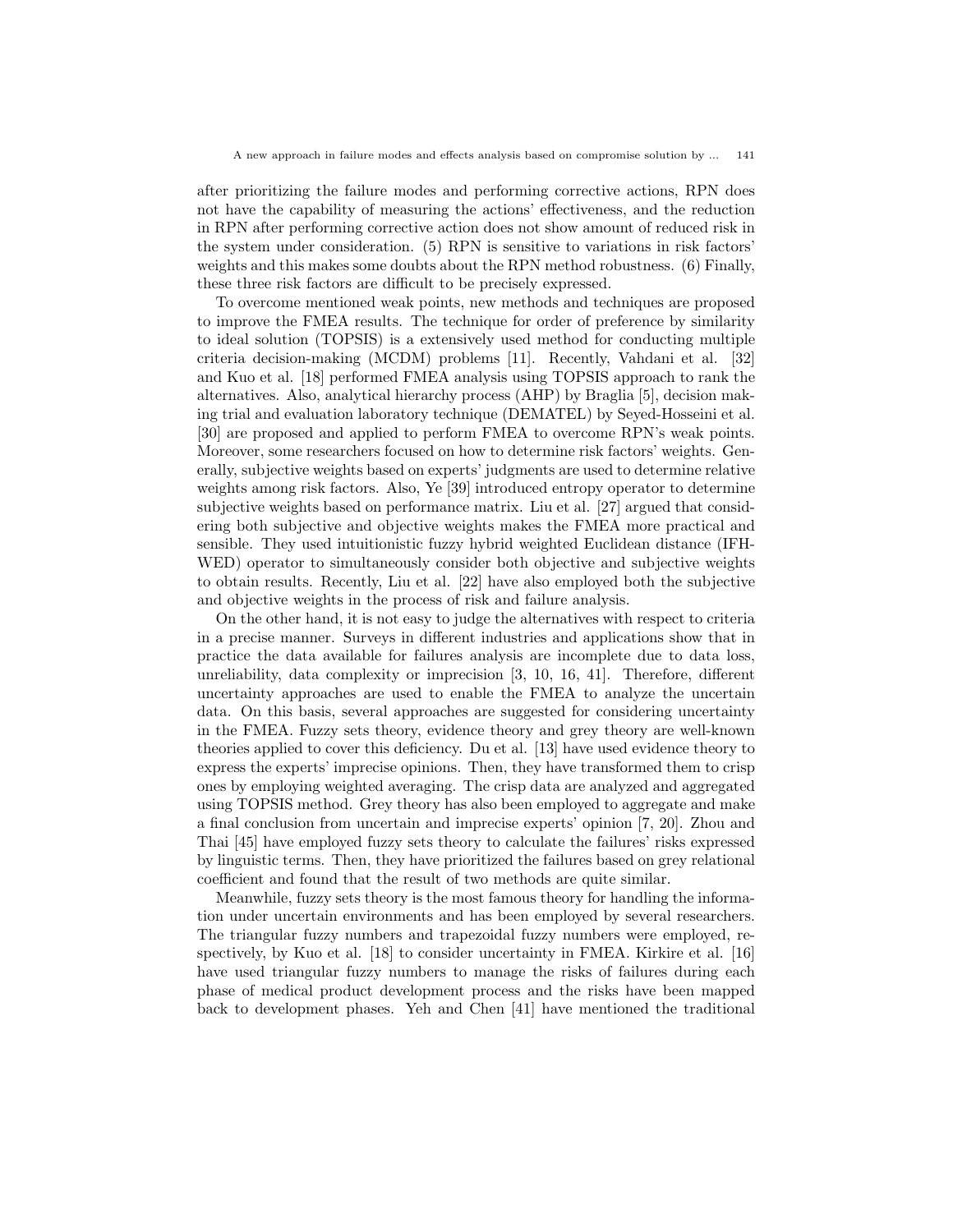after prioritizing the failure modes and performing corrective actions, RPN does not have the capability of measuring the actions' effectiveness, and the reduction in RPN after performing corrective action does not show amount of reduced risk in the system under consideration. (5) RPN is sensitive to variations in risk factors' weights and this makes some doubts about the RPN method robustness. (6) Finally, these three risk factors are difficult to be precisely expressed.

To overcome mentioned weak points, new methods and techniques are proposed to improve the FMEA results. The technique for order of preference by similarity to ideal solution (TOPSIS) is a extensively used method for conducting multiple criteria decision-making (MCDM) problems [11]. Recently, Vahdani et al. [32] and Kuo et al. [18] performed FMEA analysis using TOPSIS approach to rank the alternatives. Also, analytical hierarchy process (AHP) by Braglia [5], decision making trial and evaluation laboratory technique (DEMATEL) by Seyed-Hosseini et al. [30] are proposed and applied to perform FMEA to overcome RPN's weak points. Moreover, some researchers focused on how to determine risk factors' weights. Generally, subjective weights based on experts' judgments are used to determine relative weights among risk factors. Also, Ye [39] introduced entropy operator to determine subjective weights based on performance matrix. Liu et al. [27] argued that considering both subjective and objective weights makes the FMEA more practical and sensible. They used intuitionistic fuzzy hybrid weighted Euclidean distance (IFH-WED) operator to simultaneously consider both objective and subjective weights to obtain results. Recently, Liu et al. [22] have also employed both the subjective and objective weights in the process of risk and failure analysis.

On the other hand, it is not easy to judge the alternatives with respect to criteria in a precise manner. Surveys in different industries and applications show that in practice the data available for failures analysis are incomplete due to data loss, unreliability, data complexity or imprecision [3, 10, 16, 41]. Therefore, different uncertainty approaches are used to enable the FMEA to analyze the uncertain data. On this basis, several approaches are suggested for considering uncertainty in the FMEA. Fuzzy sets theory, evidence theory and grey theory are well-known theories applied to cover this deficiency. Du et al. [13] have used evidence theory to express the experts' imprecise opinions. Then, they have transformed them to crisp ones by employing weighted averaging. The crisp data are analyzed and aggregated using TOPSIS method. Grey theory has also been employed to aggregate and make a final conclusion from uncertain and imprecise experts' opinion [7, 20]. Zhou and Thai [45] have employed fuzzy sets theory to calculate the failures' risks expressed by linguistic terms. Then, they have prioritized the failures based on grey relational coefficient and found that the result of two methods are quite similar.

Meanwhile, fuzzy sets theory is the most famous theory for handling the information under uncertain environments and has been employed by several researchers. The triangular fuzzy numbers and trapezoidal fuzzy numbers were employed, respectively, by Kuo et al. [18] to consider uncertainty in FMEA. Kirkire et al. [16] have used triangular fuzzy numbers to manage the risks of failures during each phase of medical product development process and the risks have been mapped back to development phases. Yeh and Chen [41] have mentioned the traditional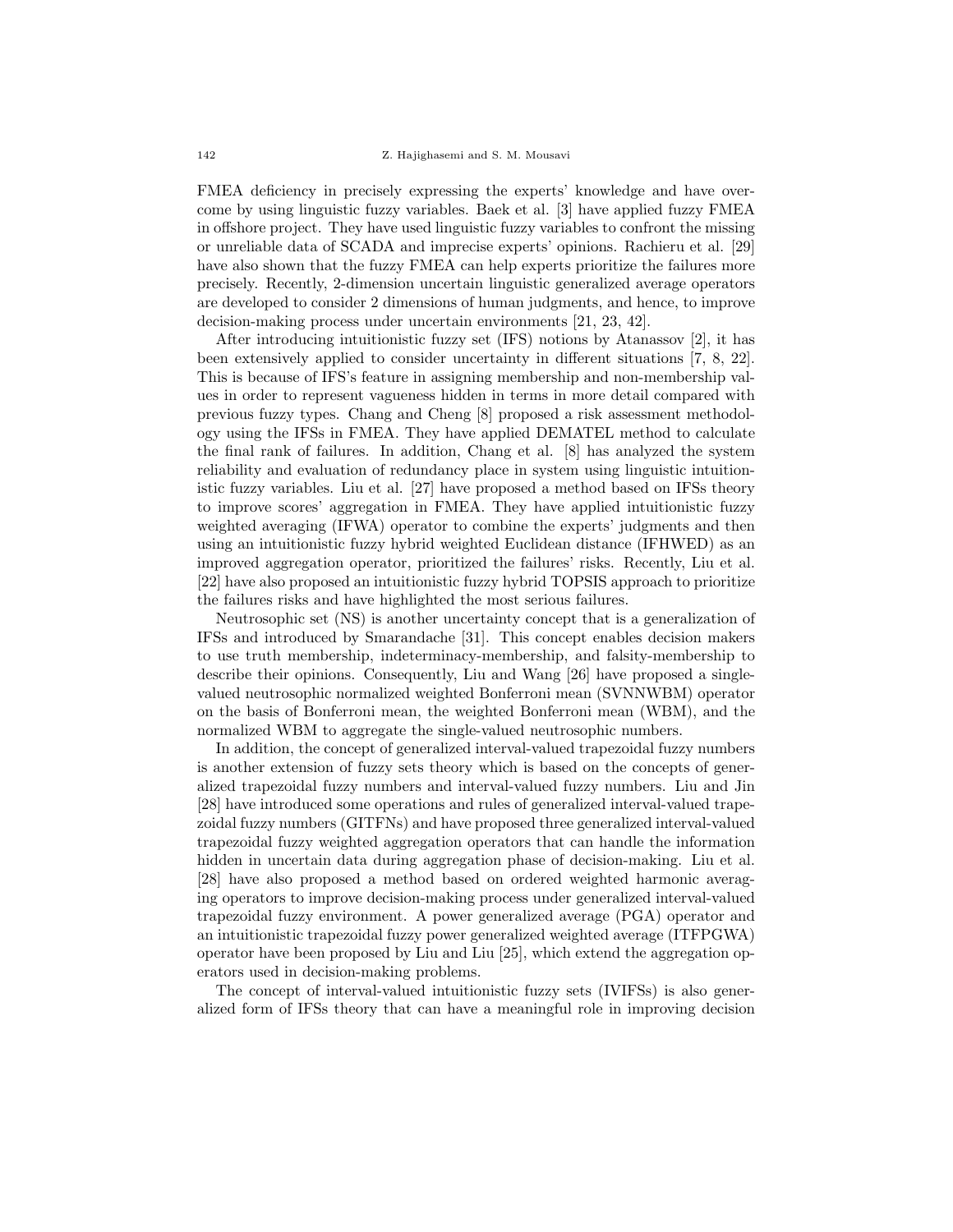FMEA deficiency in precisely expressing the experts' knowledge and have overcome by using linguistic fuzzy variables. Baek et al. [3] have applied fuzzy FMEA in offshore project. They have used linguistic fuzzy variables to confront the missing or unreliable data of SCADA and imprecise experts' opinions. Rachieru et al. [29] have also shown that the fuzzy FMEA can help experts prioritize the failures more precisely. Recently, 2-dimension uncertain linguistic generalized average operators are developed to consider 2 dimensions of human judgments, and hence, to improve decision-making process under uncertain environments [21, 23, 42].

After introducing intuitionistic fuzzy set (IFS) notions by Atanassov [2], it has been extensively applied to consider uncertainty in different situations [7, 8, 22]. This is because of IFS's feature in assigning membership and non-membership values in order to represent vagueness hidden in terms in more detail compared with previous fuzzy types. Chang and Cheng [8] proposed a risk assessment methodology using the IFSs in FMEA. They have applied DEMATEL method to calculate the final rank of failures. In addition, Chang et al. [8] has analyzed the system reliability and evaluation of redundancy place in system using linguistic intuitionistic fuzzy variables. Liu et al. [27] have proposed a method based on IFSs theory to improve scores' aggregation in FMEA. They have applied intuitionistic fuzzy weighted averaging (IFWA) operator to combine the experts' judgments and then using an intuitionistic fuzzy hybrid weighted Euclidean distance (IFHWED) as an improved aggregation operator, prioritized the failures' risks. Recently, Liu et al. [22] have also proposed an intuitionistic fuzzy hybrid TOPSIS approach to prioritize the failures risks and have highlighted the most serious failures.

Neutrosophic set (NS) is another uncertainty concept that is a generalization of IFSs and introduced by Smarandache [31]. This concept enables decision makers to use truth membership, indeterminacy-membership, and falsity-membership to describe their opinions. Consequently, Liu and Wang [26] have proposed a singlevalued neutrosophic normalized weighted Bonferroni mean (SVNNWBM) operator on the basis of Bonferroni mean, the weighted Bonferroni mean (WBM), and the normalized WBM to aggregate the single-valued neutrosophic numbers.

In addition, the concept of generalized interval-valued trapezoidal fuzzy numbers is another extension of fuzzy sets theory which is based on the concepts of generalized trapezoidal fuzzy numbers and interval-valued fuzzy numbers. Liu and Jin [28] have introduced some operations and rules of generalized interval-valued trapezoidal fuzzy numbers (GITFNs) and have proposed three generalized interval-valued trapezoidal fuzzy weighted aggregation operators that can handle the information hidden in uncertain data during aggregation phase of decision-making. Liu et al. [28] have also proposed a method based on ordered weighted harmonic averaging operators to improve decision-making process under generalized interval-valued trapezoidal fuzzy environment. A power generalized average (PGA) operator and an intuitionistic trapezoidal fuzzy power generalized weighted average (ITFPGWA) operator have been proposed by Liu and Liu [25], which extend the aggregation operators used in decision-making problems.

The concept of interval-valued intuitionistic fuzzy sets (IVIFSs) is also generalized form of IFSs theory that can have a meaningful role in improving decision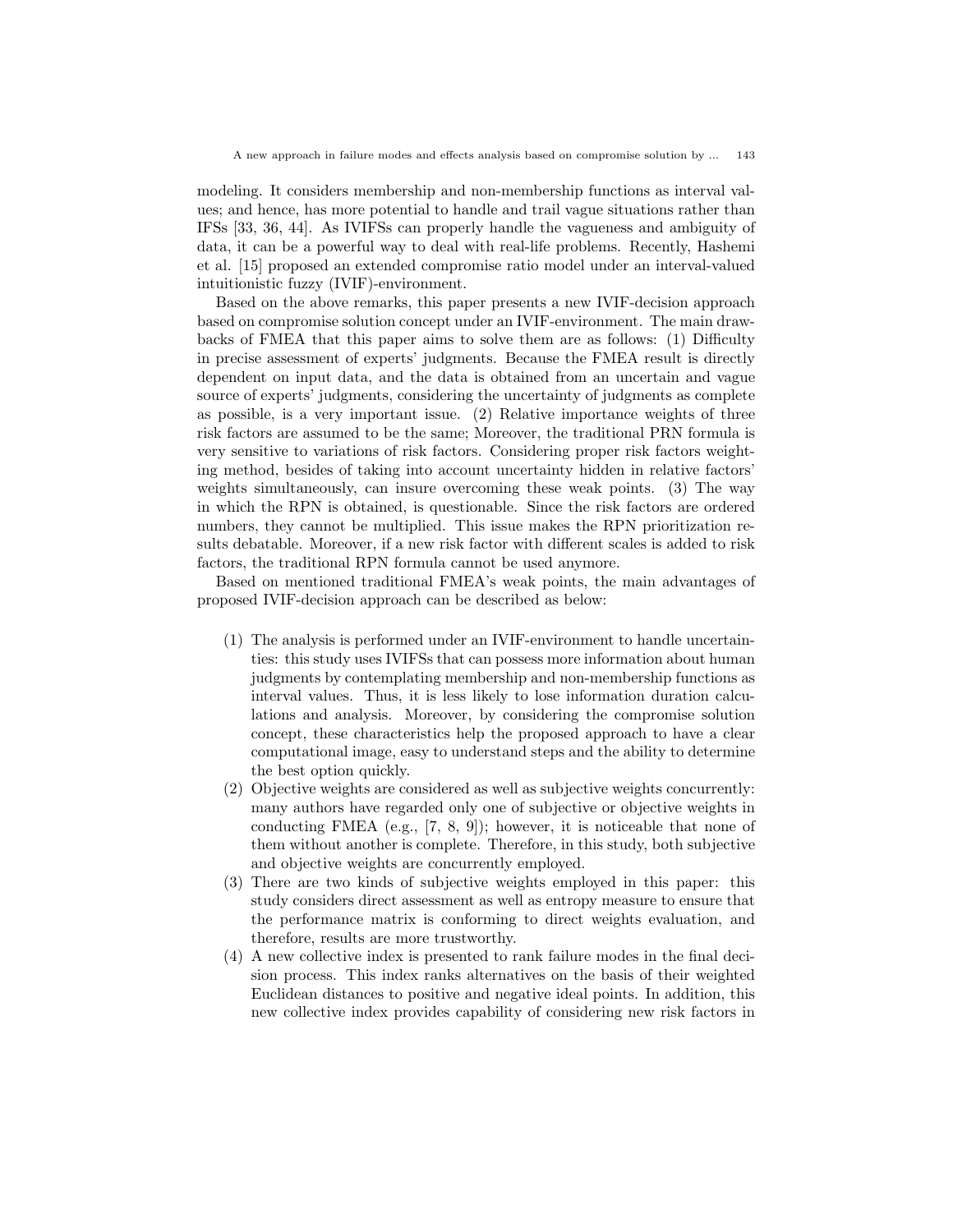modeling. It considers membership and non-membership functions as interval values; and hence, has more potential to handle and trail vague situations rather than IFSs [33, 36, 44]. As IVIFSs can properly handle the vagueness and ambiguity of data, it can be a powerful way to deal with real-life problems. Recently, Hashemi et al. [15] proposed an extended compromise ratio model under an interval-valued intuitionistic fuzzy (IVIF)-environment.

Based on the above remarks, this paper presents a new IVIF-decision approach based on compromise solution concept under an IVIF-environment. The main drawbacks of FMEA that this paper aims to solve them are as follows: (1) Difficulty in precise assessment of experts' judgments. Because the FMEA result is directly dependent on input data, and the data is obtained from an uncertain and vague source of experts' judgments, considering the uncertainty of judgments as complete as possible, is a very important issue. (2) Relative importance weights of three risk factors are assumed to be the same; Moreover, the traditional PRN formula is very sensitive to variations of risk factors. Considering proper risk factors weighting method, besides of taking into account uncertainty hidden in relative factors' weights simultaneously, can insure overcoming these weak points. (3) The way in which the RPN is obtained, is questionable. Since the risk factors are ordered numbers, they cannot be multiplied. This issue makes the RPN prioritization results debatable. Moreover, if a new risk factor with different scales is added to risk factors, the traditional RPN formula cannot be used anymore.

Based on mentioned traditional FMEA's weak points, the main advantages of proposed IVIF-decision approach can be described as below:

- (1) The analysis is performed under an IVIF-environment to handle uncertainties: this study uses IVIFSs that can possess more information about human judgments by contemplating membership and non-membership functions as interval values. Thus, it is less likely to lose information duration calculations and analysis. Moreover, by considering the compromise solution concept, these characteristics help the proposed approach to have a clear computational image, easy to understand steps and the ability to determine the best option quickly.
- (2) Objective weights are considered as well as subjective weights concurrently: many authors have regarded only one of subjective or objective weights in conducting FMEA (e.g., [7, 8, 9]); however, it is noticeable that none of them without another is complete. Therefore, in this study, both subjective and objective weights are concurrently employed.
- (3) There are two kinds of subjective weights employed in this paper: this study considers direct assessment as well as entropy measure to ensure that the performance matrix is conforming to direct weights evaluation, and therefore, results are more trustworthy.
- (4) A new collective index is presented to rank failure modes in the final decision process. This index ranks alternatives on the basis of their weighted Euclidean distances to positive and negative ideal points. In addition, this new collective index provides capability of considering new risk factors in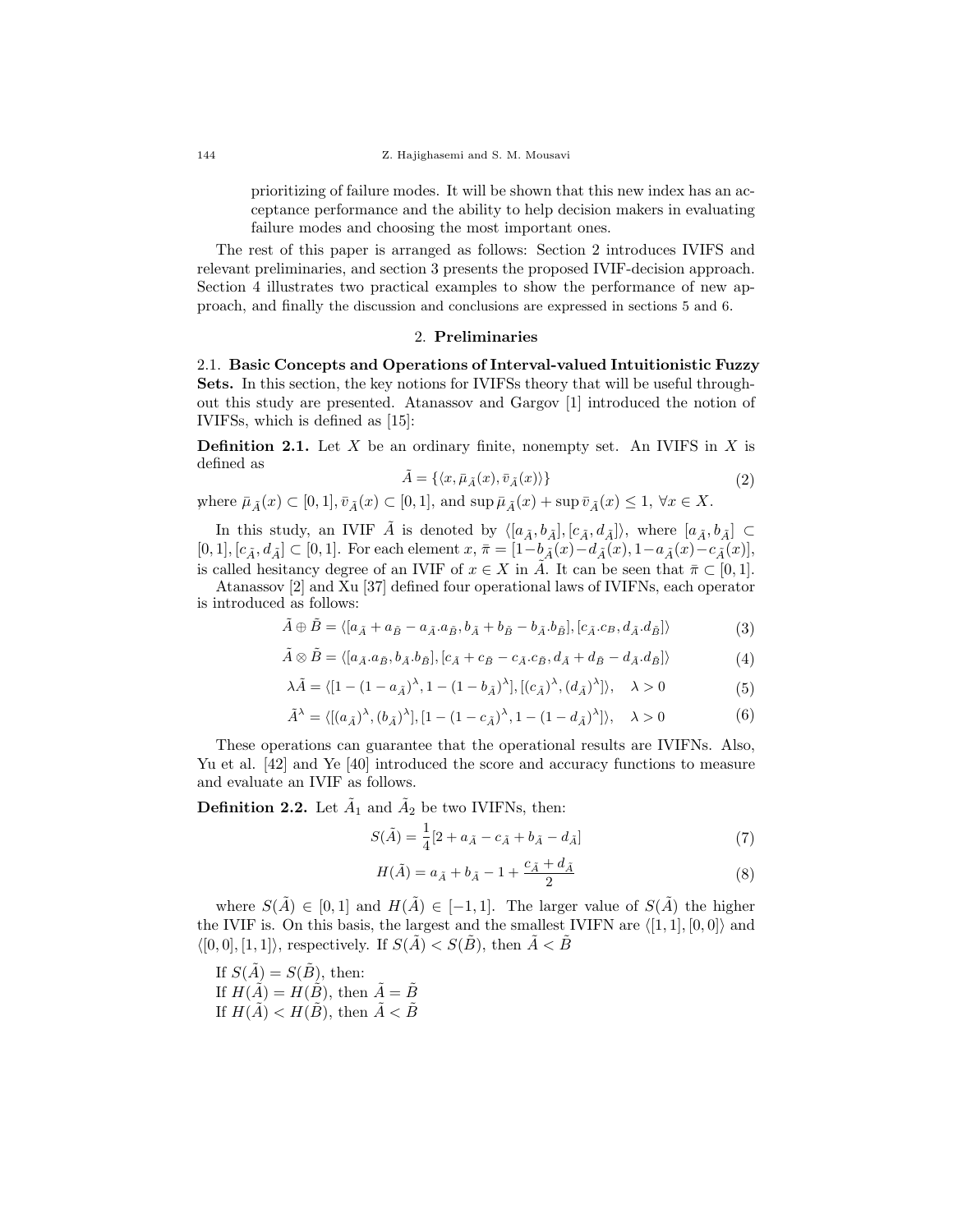prioritizing of failure modes. It will be shown that this new index has an acceptance performance and the ability to help decision makers in evaluating failure modes and choosing the most important ones.

The rest of this paper is arranged as follows: Section 2 introduces IVIFS and relevant preliminaries, and section 3 presents the proposed IVIF-decision approach. Section 4 illustrates two practical examples to show the performance of new approach, and finally the discussion and conclusions are expressed in sections 5 and 6.

# 2. Preliminaries

2.1. Basic Concepts and Operations of Interval-valued Intuitionistic Fuzzy Sets. In this section, the key notions for IVIFSs theory that will be useful throughout this study are presented. Atanassov and Gargov [1] introduced the notion of IVIFSs, which is defined as [15]:

**Definition 2.1.** Let X be an ordinary finite, nonempty set. An IVIFS in X is defined as

$$
\tilde{A} = \{ \langle x, \bar{\mu}_{\tilde{A}}(x), \bar{v}_{\tilde{A}}(x) \rangle \}
$$
\n(2)

where  $\bar{\mu}_{\tilde{A}}(x) \subset [0,1], \bar{v}_{\tilde{A}}(x) \subset [0,1],$  and  $\sup \bar{\mu}_{\tilde{A}}(x) + \sup \bar{v}_{\tilde{A}}(x) \leq 1, \forall x \in X$ .

In this study, an IVIF  $\tilde{A}$  is denoted by  $\langle [a_{\tilde{A}}, b_{\tilde{A}}], [c_{\tilde{A}}, d_{\tilde{A}}] \rangle$ , where  $[a_{\tilde{A}}, b_{\tilde{A}}] \subset$  $[0,1], [c_{\tilde{A}}, d_{\tilde{A}}] \subset [0,1].$  For each element  $x, \bar{\pi} = [1-b_{\tilde{A}}(x)-d_{\tilde{A}}(x), 1-a_{\tilde{A}}(x)-c_{\tilde{A}}(x)],$ is called hesitancy degree of an IVIF of  $x \in X$  in  $\tilde{A}$ . It can be seen that  $\bar{\pi} \subset [0,1]$ .

Atanassov [2] and Xu [37] defined four operational laws of IVIFNs, each operator is introduced as follows:

$$
\tilde{A} \oplus \tilde{B} = \langle [a_{\tilde{A}} + a_{\tilde{B}} - a_{\tilde{A}} a_{\tilde{B}}, b_{\tilde{A}} + b_{\tilde{B}} - b_{\tilde{A}} b_{\tilde{B}}], [c_{\tilde{A}} c_{B}, d_{\tilde{A}} d_{\tilde{B}}] \rangle
$$
(3)

$$
\tilde{A} \otimes \tilde{B} = \langle [a_{\tilde{A}}.a_{\tilde{B}}, b_{\tilde{A}}.b_{\tilde{B}}], [c_{\tilde{A}} + c_{\tilde{B}} - c_{\tilde{A}}.c_{\tilde{B}}, d_{\tilde{A}} + d_{\tilde{B}} - d_{\tilde{A}}.d_{\tilde{B}}] \rangle \tag{4}
$$

$$
\lambda \tilde{A} = \langle [1 - (1 - a_{\tilde{A}})^{\lambda}, 1 - (1 - b_{\tilde{A}})^{\lambda}], [(c_{\tilde{A}})^{\lambda}, (d_{\tilde{A}})^{\lambda}]\rangle, \quad \lambda > 0
$$
\n(5)

$$
\tilde{A}^{\lambda} = \langle [(a_{\tilde{A}})^{\lambda}, (b_{\tilde{A}})^{\lambda}], [1 - (1 - c_{\tilde{A}})^{\lambda}, 1 - (1 - d_{\tilde{A}})^{\lambda}]\rangle, \quad \lambda > 0
$$
\n(6)

These operations can guarantee that the operational results are IVIFNs. Also, Yu et al. [42] and Ye [40] introduced the score and accuracy functions to measure and evaluate an IVIF as follows.

**Definition 2.2.** Let  $\tilde{A}_1$  and  $\tilde{A}_2$  be two IVIFNs, then:

$$
S(\tilde{A}) = \frac{1}{4} [2 + a_{\tilde{A}} - c_{\tilde{A}} + b_{\tilde{A}} - d_{\tilde{A}}]
$$
\n(7)

$$
H(\tilde{A}) = a_{\tilde{A}} + b_{\tilde{A}} - 1 + \frac{c_{\tilde{A}} + d_{\tilde{A}}}{2}
$$
 (8)

where  $S(\tilde{A}) \in [0,1]$  and  $H(\tilde{A}) \in [-1,1]$ . The larger value of  $S(\tilde{A})$  the higher the IVIF is. On this basis, the largest and the smallest IVIFN are  $\langle [1, 1], [0, 0] \rangle$  and  $\langle [0, 0], [1, 1] \rangle$ , respectively. If  $S(\tilde{A}) < S(\tilde{B})$ , then  $\tilde{A} < \tilde{B}$ 

If  $S(\tilde{A}) = S(\tilde{B})$ , then: If  $H(\tilde{A}) = H(\tilde{B})$ , then  $\tilde{A} = \tilde{B}$ If  $H(\tilde{A}) < H(\tilde{B})$ , then  $\tilde{A} < \tilde{B}$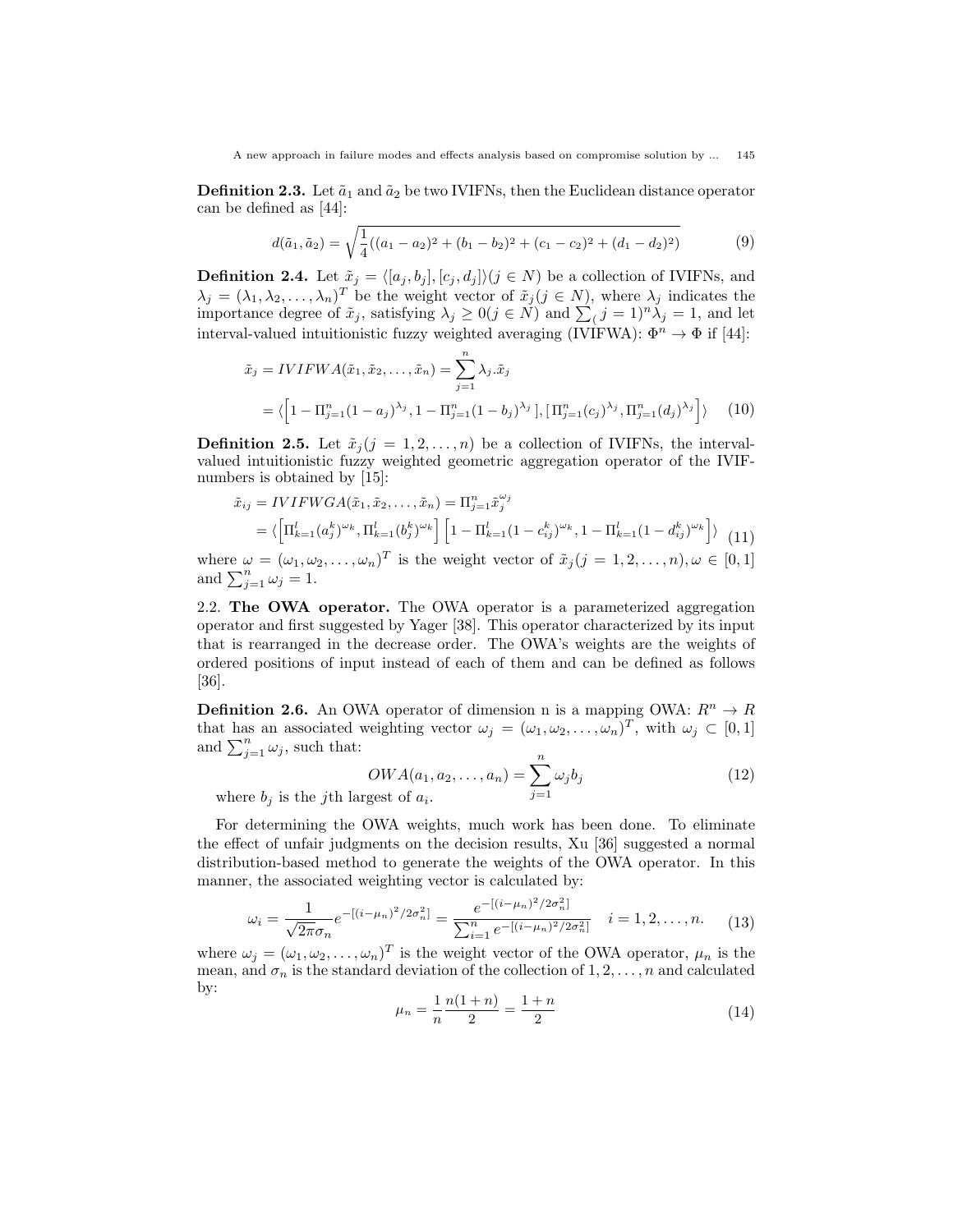**Definition 2.3.** Let  $\tilde{a}_1$  and  $\tilde{a}_2$  be two IVIFNs, then the Euclidean distance operator can be defined as [44]:

$$
d(\tilde{a}_1, \tilde{a}_2) = \sqrt{\frac{1}{4}((a_1 - a_2)^2 + (b_1 - b_2)^2 + (c_1 - c_2)^2 + (d_1 - d_2)^2)}
$$
(9)

**Definition 2.4.** Let  $\tilde{x}_j = \langle [a_j, b_j], [c_j, d_j] \rangle (j \in N)$  be a collection of IVIFNs, and  $\lambda_j = (\lambda_1, \lambda_2, \dots, \lambda_n)^T$  be the weight vector of  $\tilde{x}_j (j \in N)$ , where  $\lambda_j$  indicates the importance degree of  $\tilde{x}_j$ , satisfying  $\lambda_j \geq 0$   $(j \in \tilde{N})$  and  $\sum_j (j = 1)^n \lambda_j = 1$ , and let interval-valued intuitionistic fuzzy weighted averaging (IVIFWA):  $\Phi^n \to \Phi$  if [44]:

$$
\tilde{x}_j = IVIFWA(\tilde{x}_1, \tilde{x}_2, ..., \tilde{x}_n) = \sum_{j=1}^n \lambda_j . \tilde{x}_j
$$
  
=  $\langle \left[1 - \Pi_{j=1}^n (1 - a_j)^{\lambda_j}, 1 - \Pi_{j=1}^n (1 - b_j)^{\lambda_j}\right], \left[\Pi_{j=1}^n (c_j)^{\lambda_j}, \Pi_{j=1}^n (d_j)^{\lambda_j}\right] \rangle$  (10)

**Definition 2.5.** Let  $\tilde{x}_j$  ( $j = 1, 2, ..., n$ ) be a collection of IVIFNs, the intervalvalued intuitionistic fuzzy weighted geometric aggregation operator of the IVIFnumbers is obtained by [15]:

$$
\tilde{x}_{ij} = IVIFWGA(\tilde{x}_1, \tilde{x}_2, ..., \tilde{x}_n) = \Pi_{j=1}^n \tilde{x}_j^{\omega_j}
$$
\n
$$
= \langle \left[ \Pi_{k=1}^l (a_j^k)^{\omega_k}, \Pi_{k=1}^l (b_j^k)^{\omega_k} \right] \left[ 1 - \Pi_{k=1}^l (1 - c_{ij}^k)^{\omega_k}, 1 - \Pi_{k=1}^l (1 - d_{ij}^k)^{\omega_k} \right] \rangle
$$
\n(11)

where  $\omega = (\omega_1, \omega_2, \dots, \omega_n)^T$  is the weight vector of  $\tilde{x}_j (j = 1, 2, \dots, n), \omega \in [0, 1]$ and  $\sum_{j=1}^n \omega_j = 1$ .

2.2. The OWA operator. The OWA operator is a parameterized aggregation operator and first suggested by Yager [38]. This operator characterized by its input that is rearranged in the decrease order. The OWA's weights are the weights of ordered positions of input instead of each of them and can be defined as follows [36].

**Definition 2.6.** An OWA operator of dimension n is a mapping OWA:  $R^n \to R$ that has an associated weighting vector  $\omega_j = (\omega_1, \omega_2, \dots, \omega_n)^T$ , with  $\omega_j \subset [0, 1]$ and  $\sum_{j=1}^n \omega_j$ , such that:

$$
OWA(a_1, a_2, \dots, a_n) = \sum_{j=1}^n \omega_j b_j
$$
\n
$$
\text{gest of } a_i. \tag{12}
$$

where  $b_i$  is the *j*th large

For determining the OWA weights, much work has been done. To eliminate the effect of unfair judgments on the decision results, Xu [36] suggested a normal distribution-based method to generate the weights of the OWA operator. In this manner, the associated weighting vector is calculated by:

$$
\omega_i = \frac{1}{\sqrt{2\pi}\sigma_n} e^{-[(i-\mu_n)^2/2\sigma_n^2]} = \frac{e^{-[(i-\mu_n)^2/2\sigma_n^2]}}{\sum_{i=1}^n e^{-[(i-\mu_n)^2/2\sigma_n^2]}} \quad i=1,2,\ldots,n. \tag{13}
$$

where  $\omega_j = (\omega_1, \omega_2, \dots, \omega_n)^T$  is the weight vector of the OWA operator,  $\mu_n$  is the mean, and  $\sigma_n$  is the standard deviation of the collection of 1, 2, ..., n and calculated by:

$$
\mu_n = \frac{1}{n} \frac{n(1+n)}{2} = \frac{1+n}{2} \tag{14}
$$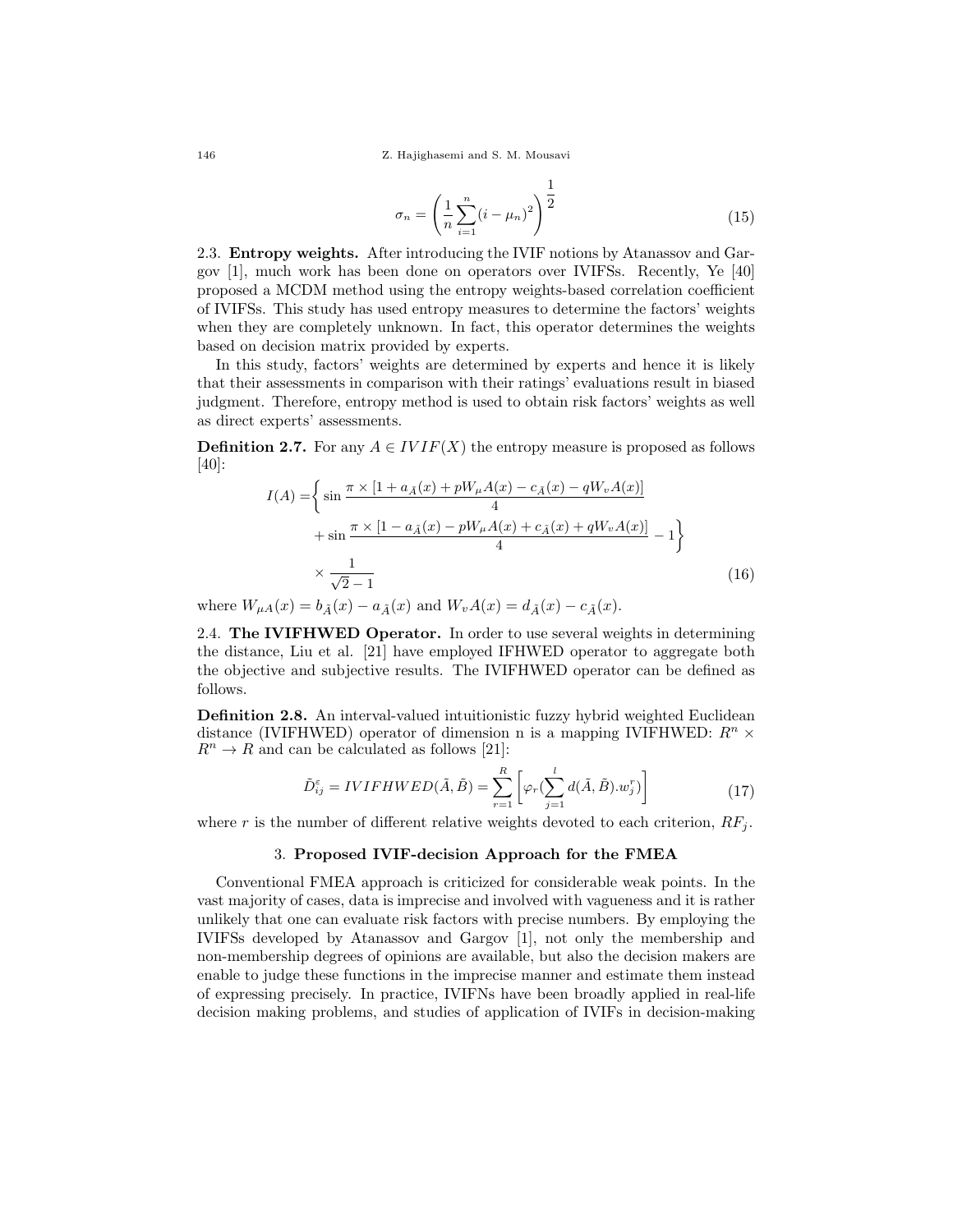146 Z. Hajighasemi and S. M. Mousavi

$$
\sigma_n = \left(\frac{1}{n}\sum_{i=1}^n (i - \mu_n)^2\right)^{\frac{1}{2}}
$$
\n(15)

1

2.3. Entropy weights. After introducing the IVIF notions by Atanassov and Gargov [1], much work has been done on operators over IVIFSs. Recently, Ye [40] proposed a MCDM method using the entropy weights-based correlation coefficient of IVIFSs. This study has used entropy measures to determine the factors' weights when they are completely unknown. In fact, this operator determines the weights based on decision matrix provided by experts.

In this study, factors' weights are determined by experts and hence it is likely that their assessments in comparison with their ratings' evaluations result in biased judgment. Therefore, entropy method is used to obtain risk factors' weights as well as direct experts' assessments.

**Definition 2.7.** For any  $A \in IVIF(X)$  the entropy measure is proposed as follows [40]:

$$
I(A) = \left\{ \sin \frac{\pi \times [1 + a_{\tilde{A}}(x) + pW_{\mu}A(x) - c_{\tilde{A}}(x) - qW_{\nu}A(x)]}{4} + \sin \frac{\pi \times [1 - a_{\tilde{A}}(x) - pW_{\mu}A(x) + c_{\tilde{A}}(x) + qW_{\nu}A(x)]}{4} - 1 \right\}
$$
  

$$
\times \frac{1}{\sqrt{2} - 1}
$$
 (16)

where  $W_{\mu A}(x) = b_{\tilde{A}}(x) - a_{\tilde{A}}(x)$  and  $W_{\nu}A(x) = d_{\tilde{A}}(x) - c_{\tilde{A}}(x)$ .

2.4. The IVIFHWED Operator. In order to use several weights in determining the distance, Liu et al. [21] have employed IFHWED operator to aggregate both the objective and subjective results. The IVIFHWED operator can be defined as follows.

Definition 2.8. An interval-valued intuitionistic fuzzy hybrid weighted Euclidean distance (IVIFHWED) operator of dimension n is a mapping IVIFHWED:  $R^n$  ×  $R^n \to R$  and can be calculated as follows [21]:

$$
\tilde{D}_{ij}^{\varepsilon} = IVIFHWED(\tilde{A}, \tilde{B}) = \sum_{r=1}^{R} \left[ \varphi_r(\sum_{j=1}^{l} d(\tilde{A}, \tilde{B}).w_j^r) \right]
$$
(17)

where r is the number of different relative weights devoted to each criterion,  $RF_i$ .

# 3. Proposed IVIF-decision Approach for the FMEA

Conventional FMEA approach is criticized for considerable weak points. In the vast majority of cases, data is imprecise and involved with vagueness and it is rather unlikely that one can evaluate risk factors with precise numbers. By employing the IVIFSs developed by Atanassov and Gargov [1], not only the membership and non-membership degrees of opinions are available, but also the decision makers are enable to judge these functions in the imprecise manner and estimate them instead of expressing precisely. In practice, IVIFNs have been broadly applied in real-life decision making problems, and studies of application of IVIFs in decision-making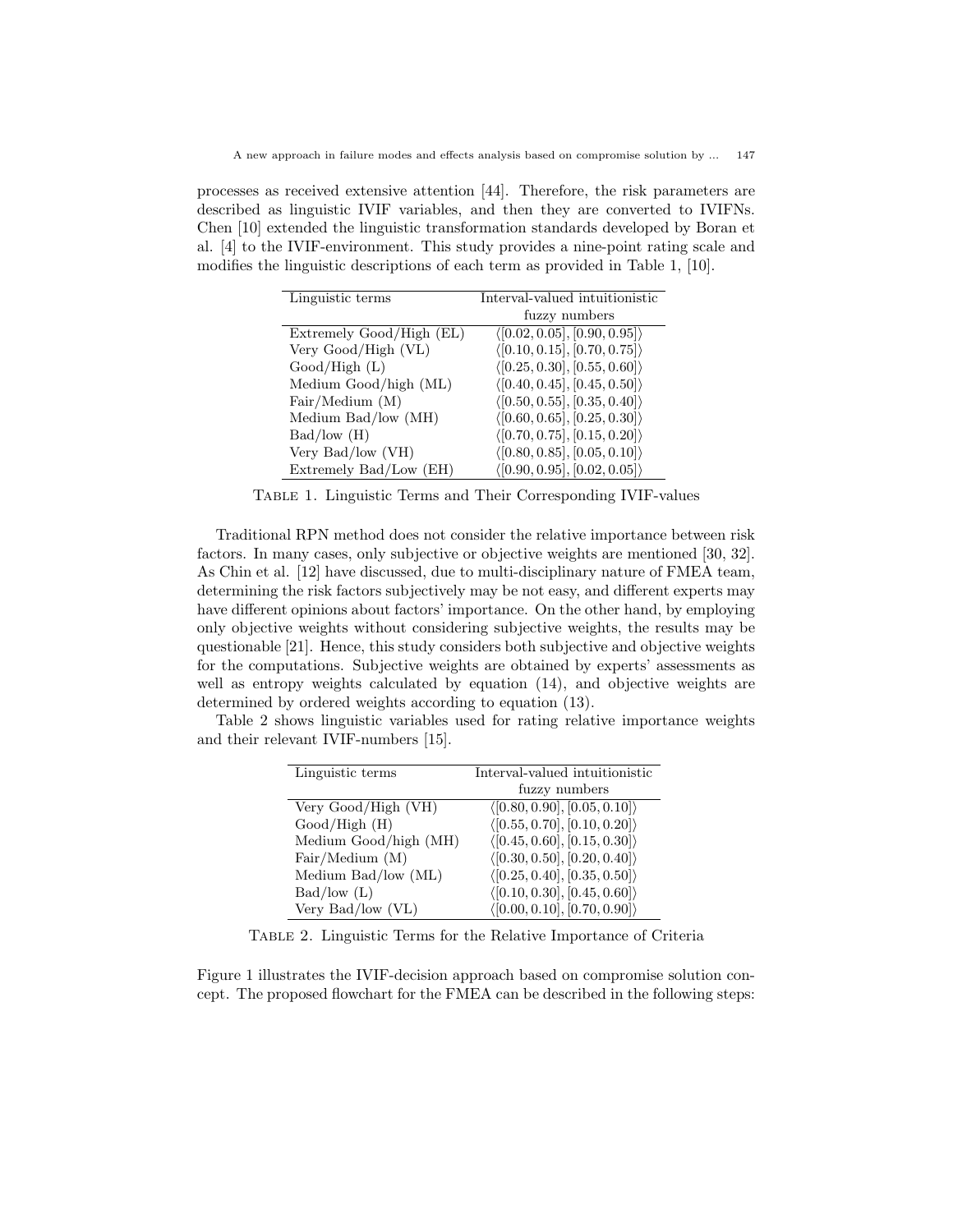processes as received extensive attention [44]. Therefore, the risk parameters are described as linguistic IVIF variables, and then they are converted to IVIFNs. Chen [10] extended the linguistic transformation standards developed by Boran et al. [4] to the IVIF-environment. This study provides a nine-point rating scale and modifies the linguistic descriptions of each term as provided in Table 1, [10].

| Linguistic terms         | Interval-valued intuitionistic               |  |  |  |  |  |
|--------------------------|----------------------------------------------|--|--|--|--|--|
|                          | fuzzy numbers                                |  |  |  |  |  |
| Extremely Good/High (EL) | $\langle [0.02, 0.05], [0.90, 0.95] \rangle$ |  |  |  |  |  |
| Very Good/High (VL)      | $\langle [0.10, 0.15], [0.70, 0.75] \rangle$ |  |  |  |  |  |
| Good/High(L)             | $\langle [0.25, 0.30], [0.55, 0.60] \rangle$ |  |  |  |  |  |
| Medium Good/high (ML)    | $\langle [0.40, 0.45], [0.45, 0.50] \rangle$ |  |  |  |  |  |
| Fair/ Medium (M)         | $\langle [0.50, 0.55], [0.35, 0.40] \rangle$ |  |  |  |  |  |
| Medium $Bad/low(MH)$     | $\langle [0.60, 0.65], [0.25, 0.30] \rangle$ |  |  |  |  |  |
| Bad/low(H)               | $\langle [0.70, 0.75], [0.15, 0.20] \rangle$ |  |  |  |  |  |
| Very Bad/low (VH)        | $\langle [0.80, 0.85], [0.05, 0.10] \rangle$ |  |  |  |  |  |
| Extremely Bad/Low (EH)   | $\langle [0.90, 0.95], [0.02, 0.05] \rangle$ |  |  |  |  |  |

Table 1. Linguistic Terms and Their Corresponding IVIF-values

Traditional RPN method does not consider the relative importance between risk factors. In many cases, only subjective or objective weights are mentioned [30, 32]. As Chin et al. [12] have discussed, due to multi-disciplinary nature of FMEA team, determining the risk factors subjectively may be not easy, and different experts may have different opinions about factors' importance. On the other hand, by employing only objective weights without considering subjective weights, the results may be questionable [21]. Hence, this study considers both subjective and objective weights for the computations. Subjective weights are obtained by experts' assessments as well as entropy weights calculated by equation (14), and objective weights are determined by ordered weights according to equation (13).

Table 2 shows linguistic variables used for rating relative importance weights and their relevant IVIF-numbers [15].

| Linguistic terms      | Interval-valued intuitionistic               |
|-----------------------|----------------------------------------------|
|                       | fuzzy numbers                                |
| Very Good/High (VH)   | (0.80, 0.90], [0.05, 0.10])                  |
| $Good/High$ (H)       | $\langle [0.55, 0.70], [0.10, 0.20] \rangle$ |
| Medium Good/high (MH) | $\langle [0.45, 0.60], [0.15, 0.30] \rangle$ |
| Fair/ Medium (M)      | $\langle [0.30, 0.50], [0.20, 0.40] \rangle$ |
| Medium $Bad/low(ML)$  | $\langle [0.25, 0.40], [0.35, 0.50] \rangle$ |
| Bad/low(L)            | $\langle [0.10, 0.30], [0.45, 0.60] \rangle$ |
| Very Bad/low (VL)     | $\langle [0.00, 0.10], [0.70, 0.90] \rangle$ |

Table 2. Linguistic Terms for the Relative Importance of Criteria

Figure 1 illustrates the IVIF-decision approach based on compromise solution concept. The proposed flowchart for the FMEA can be described in the following steps: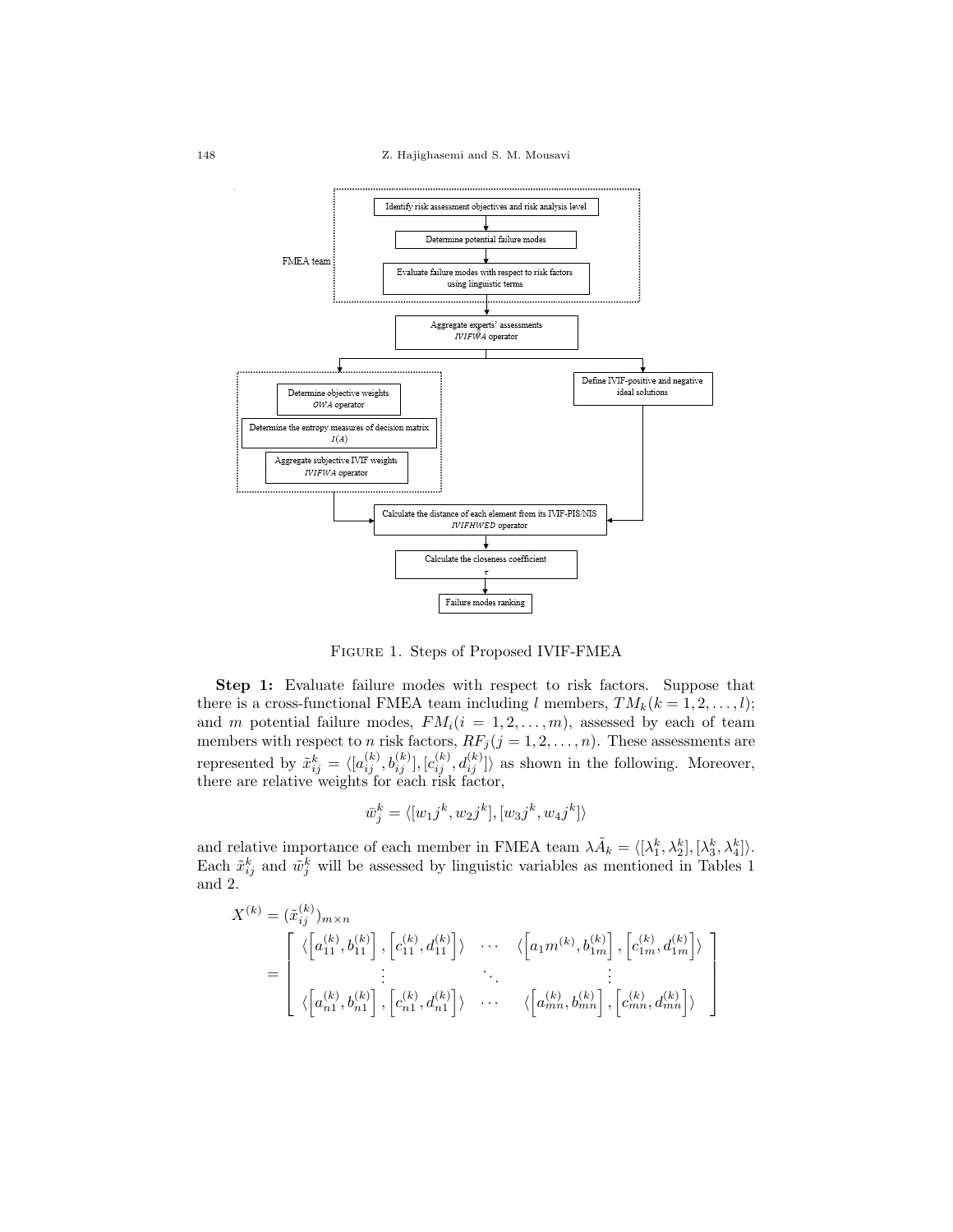

Figure 1. Steps of Proposed IVIF-FMEA

Step 1: Evaluate failure modes with respect to risk factors. Suppose that there is a cross-functional FMEA team including l members,  $TM_k(k = 1, 2, \ldots, l);$ and m potential failure modes,  $FM_i(i = 1, 2, ..., m)$ , assessed by each of team members with respect to *n* risk factors,  $RF_j$  ( $j = 1, 2, ..., n$ ). These assessments are represented by  $\tilde{x}_{ij}^k = \langle [a_{ij}^{(k)}, b_{ij}^{(k)}], [c_{ij}^{(k)}, d_{ij}^{(k)}] \rangle$  as shown in the following. Moreover, there are relative weights for each risk factor,

$$
\bar{w}_j^k = \langle [w_{1j}^k, w_{2j}^k], [w_{3j}^k, w_{4j}^k] \rangle
$$

and relative importance of each member in FMEA team  $\lambda \tilde{A}_k = \langle [\lambda_1^k, \lambda_2^k], [\lambda_3^k, \lambda_4^k] \rangle$ . Each  $\tilde{x}_{ij}^k$  and  $\tilde{w}_j^k$  will be assessed by linguistic variables as mentioned in Tables 1 and 2.

$$
X^{(k)} = (\tilde{x}_{ij}^{(k)})_{m \times n}
$$
\n
$$
= \begin{bmatrix} \langle \begin{bmatrix} a_{11}^{(k)}, b_{11}^{(k)} \end{bmatrix}, \begin{bmatrix} c_{11}^{(k)}, d_{11}^{(k)} \end{bmatrix} \rangle & \cdots & \langle \begin{bmatrix} a_{1}m^{(k)}, b_{1m}^{(k)} \end{bmatrix}, \begin{bmatrix} c_{1m}^{(k)}, d_{1m}^{(k)} \end{bmatrix} \rangle \\ \vdots & \ddots & \vdots \\ \langle \begin{bmatrix} a_{n1}^{(k)}, b_{n1}^{(k)} \end{bmatrix}, \begin{bmatrix} c_{n1}^{(k)}, d_{n1}^{(k)} \end{bmatrix} \rangle & \cdots & \langle \begin{bmatrix} a_{mn}^{(k)}, b_{mn}^{(k)} \end{bmatrix}, \begin{bmatrix} c_{mn}^{(k)}, d_{mn}^{(k)} \end{bmatrix} \rangle \end{bmatrix}
$$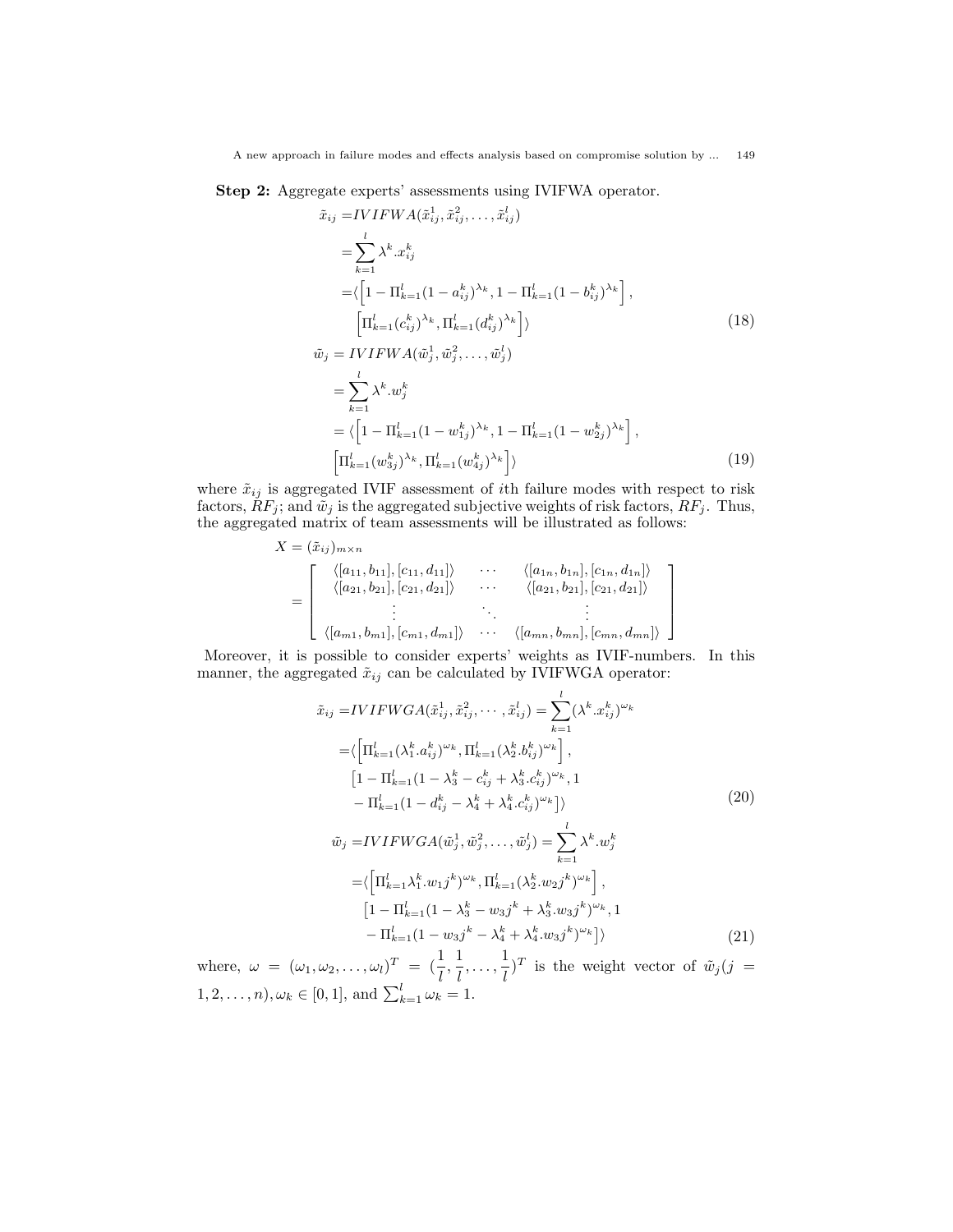Step 2: Aggregate experts' assessments using IVIFWA operator.

$$
\tilde{x}_{ij} = IVIFWA(\tilde{x}_{ij}^1, \tilde{x}_{ij}^2, \dots, \tilde{x}_{ij}^l)
$$
\n
$$
= \sum_{k=1}^{l} \lambda^k . x_{ij}^k
$$
\n
$$
= \langle \left[1 - \prod_{k=1}^{l} (1 - a_{ij}^k)^{\lambda_k}, 1 - \prod_{k=1}^{l} (1 - b_{ij}^k)^{\lambda_k} \right],
$$
\n
$$
\left[ \prod_{k=1}^{l} (c_{ij}^k)^{\lambda_k}, \prod_{k=1}^{l} (d_{ij}^k)^{\lambda_k} \right] \rangle
$$
\n
$$
\tilde{w}_j = IVIFWA(\tilde{w}_j^1, \tilde{w}_j^2, \dots, \tilde{w}_j^l)
$$
\n
$$
= \sum_{k=1}^{l} \lambda^k . w_j^k
$$
\n
$$
= \langle \left[1 - \prod_{k=1}^{l} (1 - w_{1j}^k)^{\lambda_k}, 1 - \prod_{k=1}^{l} (1 - w_{2j}^k)^{\lambda_k} \right],
$$
\n
$$
\left[ \prod_{k=1}^{l} (w_{3j}^k)^{\lambda_k}, \prod_{k=1}^{l} (w_{4j}^k)^{\lambda_k} \right] \rangle
$$
\n(19)

where  $\tilde{x}_{ij}$  is aggregated IVIF assessment of *i*th failure modes with respect to risk factors,  $\tilde{R}F_j$ ; and  $\tilde{w}_j$  is the aggregated subjective weights of risk factors,  $\tilde{R}F_j$ . Thus, the aggregated matrix of team assessments will be illustrated as follows:

$$
X = (\tilde{x}_{ij})_{m \times n}
$$
\n
$$
= \begin{bmatrix}\n\langle [a_{11}, b_{11}], [c_{11}, d_{11}] \rangle & \cdots & \langle [a_{1n}, b_{1n}], [c_{1n}, d_{1n}] \rangle \\
\langle [a_{21}, b_{21}], [c_{21}, d_{21}] \rangle & \cdots & \langle [a_{21}, b_{21}], [c_{21}, d_{21}] \rangle \\
\vdots & \ddots & \vdots \\
\langle [a_{m1}, b_{m1}], [c_{m1}, d_{m1}] \rangle & \cdots & \langle [a_{mn}, b_{mn}], [c_{mn}, d_{mn}] \rangle\n\end{bmatrix}
$$

Moreover, it is possible to consider experts' weights as IVIF-numbers. In this manner, the aggregated  $\tilde{x}_{ij}$  can be calculated by IVIFWGA operator:

$$
\tilde{x}_{ij} = IVIFWGA(\tilde{x}_{ij}^1, \tilde{x}_{ij}^2, \cdots, \tilde{x}_{ij}^l) = \sum_{k=1}^l (\lambda^k . x_{ij}^k)^{\omega_k} \n= \left( \left[ \Pi_{k=1}^l (\lambda_1^k . a_{ij}^k)^{\omega_k}, \Pi_{k=1}^l (\lambda_2^k . b_{ij}^k)^{\omega_k} \right], \n\left[ 1 - \Pi_{k=1}^l (1 - \lambda_3^k - c_{ij}^k + \lambda_3^k . c_{ij}^k)^{\omega_k}, 1 \right. \n- \Pi_{k=1}^l (1 - d_{ij}^k - \lambda_4^k + \lambda_4^k . c_{ij}^k)^{\omega_k} \right) \right\rangle \n\tilde{w}_j = IVIFWGA(\tilde{w}_j^1, \tilde{w}_j^2, \dots, \tilde{w}_j^l) = \sum_{k=1}^l \lambda^k . w_j^k \n= \left\langle \left[ \Pi_{k=1}^l \lambda_1^k . w_{1j}^k \right] \right\rangle^{\omega_k}, \Pi_{k=1}^l (\lambda_2^k . w_{2j}^k)^{\omega_k} \right], \n\left[ 1 - \Pi_{k=1}^l (1 - \lambda_3^k - w_{3j}^k + \lambda_3^k . w_{3j}^k)^{\omega_k}, 1 \right. \n- \Pi_{k=1}^l (1 - w_{3j}^k - \lambda_4^k + \lambda_4^k . w_{3j}^k)^{\omega_k} \right] \rangle
$$
\n(21)

where,  $\omega = (\omega_1, \omega_2, \dots, \omega_l)^T = \left(\frac{1}{l}, \frac{1}{l}\right)$  $\frac{1}{l}, \ldots, \frac{1}{l}$  $\frac{1}{l}$ )<sup>T</sup> is the weight vector of  $\tilde{w}_j$  (j =  $(1, 2, \ldots, n), \omega_k \in [0, 1], \text{ and } \sum_{k=1}^l \omega_k = 1.$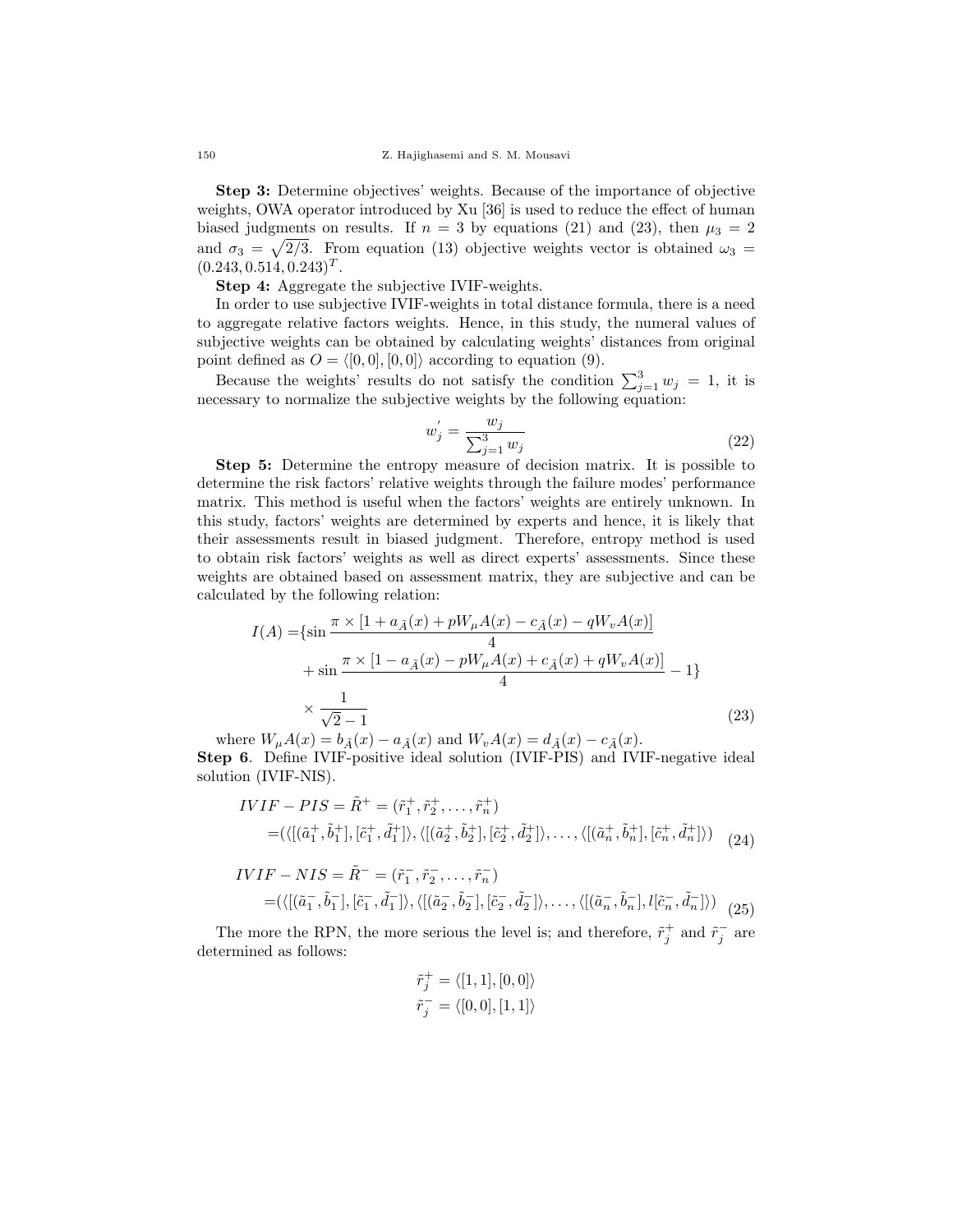Step 3: Determine objectives' weights. Because of the importance of objective weights, OWA operator introduced by Xu [36] is used to reduce the effect of human biased judgments on results. If  $n = 3$  by equations (21) and (23), then  $\mu_3 = 2$ and  $\sigma_3 = \sqrt{2/3}$ . From equation (13) objective weights vector is obtained  $\omega_3 =$  $(0.243, 0.514, 0.243)^T$ .

Step 4: Aggregate the subjective IVIF-weights.

In order to use subjective IVIF-weights in total distance formula, there is a need to aggregate relative factors weights. Hence, in this study, the numeral values of subjective weights can be obtained by calculating weights' distances from original point defined as  $O = \langle [0, 0], [0, 0] \rangle$  according to equation (9).

Because the weights' results do not satisfy the condition  $\sum_{j=1}^{3} w_j = 1$ , it is necessary to normalize the subjective weights by the following equation:

$$
w_j' = \frac{w_j}{\sum_{j=1}^3 w_j}
$$
\n(22)

Step 5: Determine the entropy measure of decision matrix. It is possible to determine the risk factors' relative weights through the failure modes' performance matrix. This method is useful when the factors' weights are entirely unknown. In this study, factors' weights are determined by experts and hence, it is likely that their assessments result in biased judgment. Therefore, entropy method is used to obtain risk factors' weights as well as direct experts' assessments. Since these weights are obtained based on assessment matrix, they are subjective and can be calculated by the following relation:

$$
I(A) = \left\{ \sin \frac{\pi \times [1 + a_{\tilde{A}}(x) + pW_{\mu}A(x) - c_{\tilde{A}}(x) - qW_{\nu}A(x)]}{4} + \sin \frac{\pi \times [1 - a_{\tilde{A}}(x) - pW_{\mu}A(x) + c_{\tilde{A}}(x) + qW_{\nu}A(x)]}{4} - 1 \right\}
$$
  

$$
\times \frac{1}{\sqrt{2} - 1}
$$
 (23)

where  $W_{\mu}A(x) = b_{\tilde{A}}(x) - a_{\tilde{A}}(x)$  and  $W_{\nu}A(x) = d_{\tilde{A}}(x) - c_{\tilde{A}}(x)$ . Step 6. Define IVIF-positive ideal solution (IVIF-PIS) and IVIF-negative ideal solution (IVIF-NIS).

$$
IVIF - PIS = \tilde{R}^+ = (\tilde{r}_1^+, \tilde{r}_2^+, \dots, \tilde{r}_n^+)
$$
  
= (\langle [(\tilde{a}\_1^+, \tilde{b}\_1^+], [\tilde{c}\_1^+, \tilde{d}\_1^+]) \rangle, \langle [(\tilde{a}\_2^+, \tilde{b}\_2^+], [\tilde{c}\_2^+, \tilde{d}\_2^+]) \rangle, \dots, \langle [(\tilde{a}\_n^+, \tilde{b}\_n^+], [\tilde{c}\_n^+, \tilde{d}\_n^+]) \rangle (24)

$$
IVIF - NIS = \tilde{R}^- = (\tilde{r}_1^-, \tilde{r}_2^-, \dots, \tilde{r}_n^-)
$$
  
= (\langle [(\tilde{a}\_1^-, \tilde{b}\_1^-, [\tilde{c}\_1^-, \tilde{d}\_1^-]) , \langle [(\tilde{a}\_2^-, \tilde{b}\_2^-, [\tilde{c}\_2^-, \tilde{d}\_2^-]) , \dots, \langle [(\tilde{a}\_n^-, \tilde{b}\_n^-, [\tilde{c}\_n^-, \tilde{d}\_n^-]) \rangle (25)

The more the RPN, the more serious the level is; and therefore,  $\tilde{r}_j^+$  and  $\tilde{r}_j^-$  are determined as follows:

$$
\begin{aligned} \tilde{r}_j^+ &= \langle [1,1],[0,0] \rangle \\ \tilde{r}_j^- &= \langle [0,0],[1,1] \rangle \end{aligned}
$$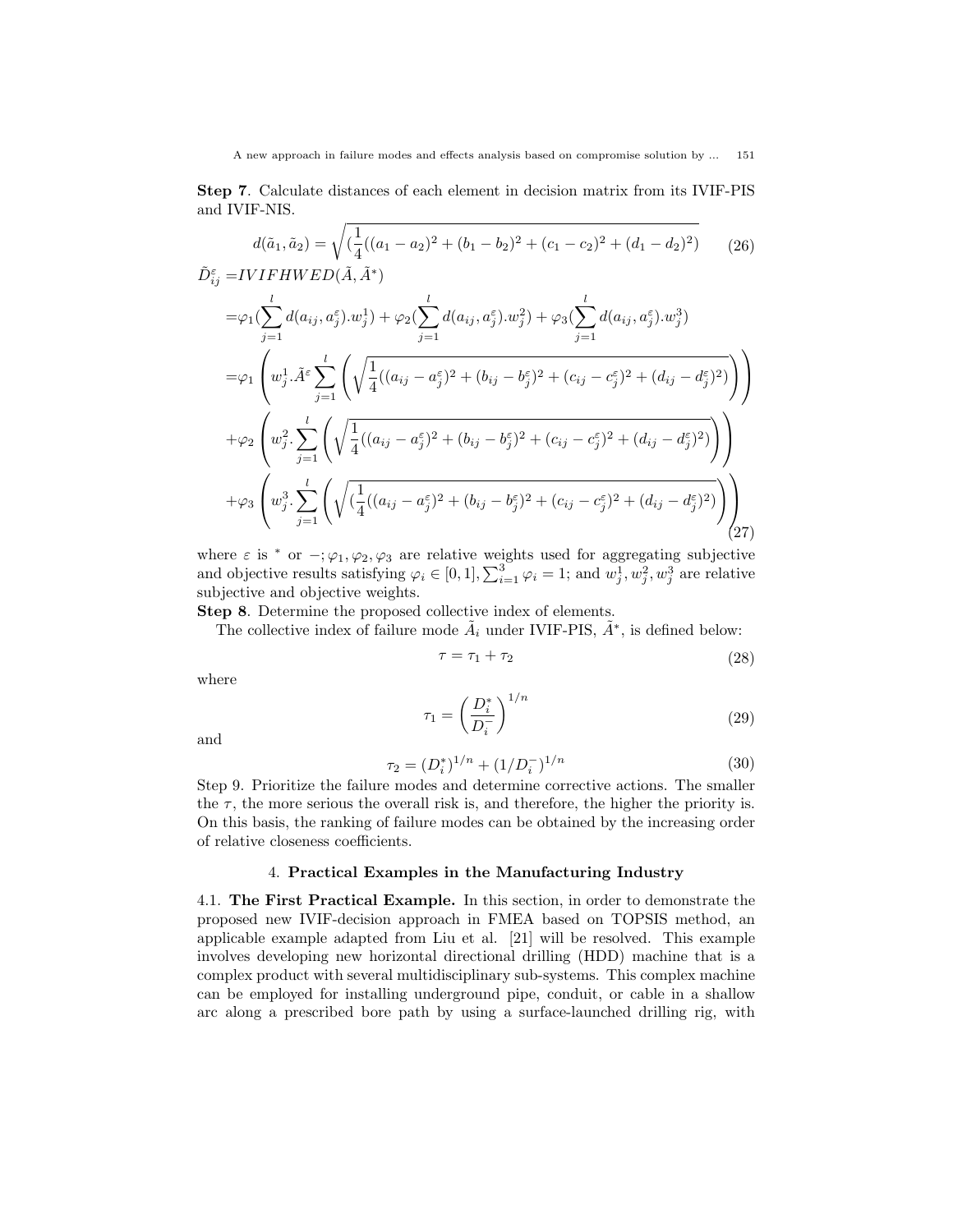Step 7. Calculate distances of each element in decision matrix from its IVIF-PIS and IVIF-NIS.

$$
d(\tilde{a}_1, \tilde{a}_2) = \sqrt{\left(\frac{1}{4}((a_1 - a_2)^2 + (b_1 - b_2)^2 + (c_1 - c_2)^2 + (d_1 - d_2)^2\right)}\tag{26}
$$
  

$$
\tilde{D}_{ij}^{\varepsilon} = IVIFHWED(\tilde{A}, \tilde{A}^*)
$$

$$
= \varphi_{1} \left( \sum_{j=1}^{l} d(a_{ij}, a_{j}^{\varepsilon}) \cdot w_{j}^{1} \right) + \varphi_{2} \left( \sum_{j=1}^{l} d(a_{ij}, a_{j}^{\varepsilon}) \cdot w_{j}^{2} \right) + \varphi_{3} \left( \sum_{j=1}^{l} d(a_{ij}, a_{j}^{\varepsilon}) \cdot w_{j}^{3} \right)
$$
  
\n
$$
= \varphi_{1} \left( w_{j}^{1} \cdot \tilde{A}^{\varepsilon} \sum_{j=1}^{l} \left( \sqrt{\frac{1}{4} ((a_{ij} - a_{j}^{\varepsilon})^{2} + (b_{ij} - b_{j}^{\varepsilon})^{2} + (c_{ij} - c_{j}^{\varepsilon})^{2} + (d_{ij} - d_{j}^{\varepsilon})^{2})} \right) \right)
$$
  
\n
$$
+ \varphi_{2} \left( w_{j}^{2} \cdot \sum_{j=1}^{l} \left( \sqrt{\frac{1}{4} ((a_{ij} - a_{j}^{\varepsilon})^{2} + (b_{ij} - b_{j}^{\varepsilon})^{2} + (c_{ij} - c_{j}^{\varepsilon})^{2} + (d_{ij} - d_{j}^{\varepsilon})^{2})} \right) \right)
$$
  
\n
$$
+ \varphi_{3} \left( w_{j}^{3} \cdot \sum_{j=1}^{l} \left( \sqrt{\frac{1}{4} ((a_{ij} - a_{j}^{\varepsilon})^{2} + (b_{ij} - b_{j}^{\varepsilon})^{2} + (c_{ij} - c_{j}^{\varepsilon})^{2} + (d_{ij} - d_{j}^{\varepsilon})^{2})} \right) \right)
$$
  
\n(27)

where  $\varepsilon$  is \* or  $-$ ;  $\varphi_1, \varphi_2, \varphi_3$  are relative weights used for aggregating subjective and objective results satisfying  $\varphi_i \in [0, 1], \sum_{i=1}^3 \varphi_i = 1$ ; and  $w_j^1, w_j^2, w_j^3$  are relative subjective and objective weights.

Step 8. Determine the proposed collective index of elements.

The collective index of failure mode  $\tilde{A}_i$  under IVIF-PIS,  $\tilde{A}^*$ , is defined below:

$$
\tau = \tau_1 + \tau_2 \tag{28}
$$

where

$$
\tau_1 = \left(\frac{D_i^*}{D_i^-}\right)^{1/n} \tag{29}
$$

and

$$
\tau_2 = (D_i^*)^{1/n} + (1/D_i^-)^{1/n} \tag{30}
$$

Step 9. Prioritize the failure modes and determine corrective actions. The smaller the  $\tau$ , the more serious the overall risk is, and therefore, the higher the priority is. On this basis, the ranking of failure modes can be obtained by the increasing order of relative closeness coefficients.

# 4. Practical Examples in the Manufacturing Industry

4.1. The First Practical Example. In this section, in order to demonstrate the proposed new IVIF-decision approach in FMEA based on TOPSIS method, an applicable example adapted from Liu et al. [21] will be resolved. This example involves developing new horizontal directional drilling (HDD) machine that is a complex product with several multidisciplinary sub-systems. This complex machine can be employed for installing underground pipe, conduit, or cable in a shallow arc along a prescribed bore path by using a surface-launched drilling rig, with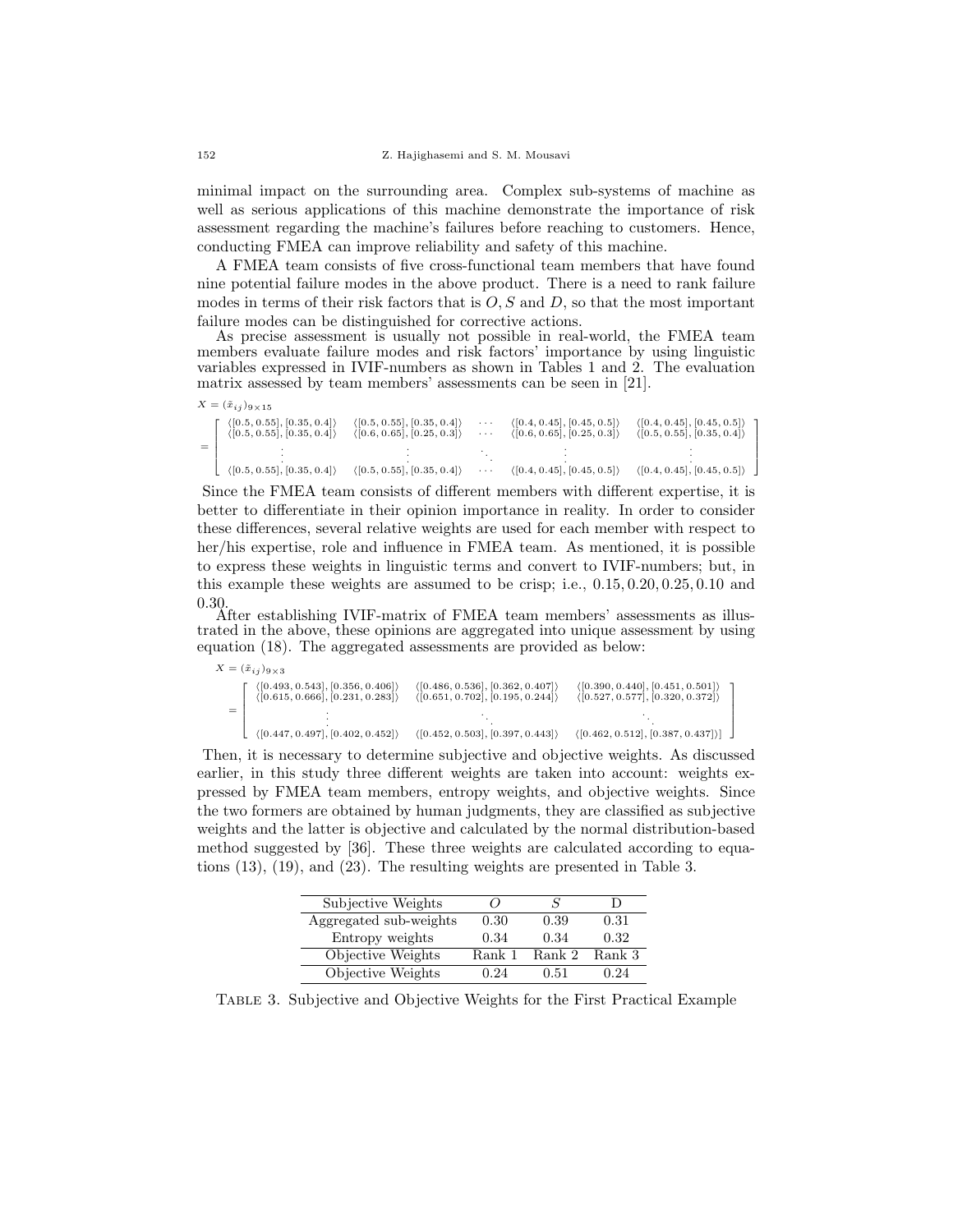minimal impact on the surrounding area. Complex sub-systems of machine as well as serious applications of this machine demonstrate the importance of risk assessment regarding the machine's failures before reaching to customers. Hence, conducting FMEA can improve reliability and safety of this machine.

A FMEA team consists of five cross-functional team members that have found nine potential failure modes in the above product. There is a need to rank failure modes in terms of their risk factors that is  $O, S$  and  $D$ , so that the most important failure modes can be distinguished for corrective actions.

As precise assessment is usually not possible in real-world, the FMEA team members evaluate failure modes and risk factors' importance by using linguistic variables expressed in IVIF-numbers as shown in Tables 1 and 2. The evaluation matrix assessed by team members' assessments can be seen in [21].

| $X = (\tilde{x}_{ij})_{9 \times 15}$                                                     |                                                                                          |                                  |                                                                                          |                                                                                          |
|------------------------------------------------------------------------------------------|------------------------------------------------------------------------------------------|----------------------------------|------------------------------------------------------------------------------------------|------------------------------------------------------------------------------------------|
| $\langle [0.5, 0.55], [0.35, 0.4] \rangle$<br>$\langle [0.5, 0.55], [0.35, 0.4] \rangle$ | $\langle [0.5, 0.55], [0.35, 0.4] \rangle$<br>$\langle [0.6, 0.65], [0.25, 0.3] \rangle$ | $\sim$ $\sim$ $\sim$<br>$\cdots$ | $\langle [0.4, 0.45], [0.45, 0.5] \rangle$<br>$\langle [0.6, 0.65], [0.25, 0.3] \rangle$ | $\langle [0.4, 0.45], [0.45, 0.5] \rangle$<br>$\langle [0.5, 0.55], [0.35, 0.4] \rangle$ |
| $\langle [0.5, 0.55], [0.35, 0.4] \rangle$                                               | $\langle [0.5, 0.55], [0.35, 0.4] \rangle$                                               | $\cdots$                         | $\langle [0.4, 0.45], [0.45, 0.5] \rangle$                                               | $\langle [0.4, 0.45], [0.45, 0.5] \rangle$                                               |

٦  $\mathbf{I}$  $\mathbf{I}$  $\mathbf{I}$  $\mathbf{I}$  $\mathbf{I}$ 

٦  $\mathbf{I}$  $\mathbf{I}$  $\mathbf{I}$  $\mathbf{I}$  $\mathbf{I}$ 

Since the FMEA team consists of different members with different expertise, it is better to differentiate in their opinion importance in reality. In order to consider these differences, several relative weights are used for each member with respect to her/his expertise, role and influence in FMEA team. As mentioned, it is possible to express these weights in linguistic terms and convert to IVIF-numbers; but, in this example these weights are assumed to be crisp; i.e., 0.15, 0.20, 0.25, 0.10 and 0.30.

After establishing IVIF-matrix of FMEA team members' assessments as illustrated in the above, these opinions are aggregated into unique assessment by using equation (18). The aggregated assessments are provided as below:

| $X = (\tilde{x}_{i,j})_{9 \times 3}$                                                                 |                                                                                                      |                                                                    |
|------------------------------------------------------------------------------------------------------|------------------------------------------------------------------------------------------------------|--------------------------------------------------------------------|
| $\langle [0.493, 0.543], [0.356, 0.406] \rangle$<br>$\langle [0.615, 0.666], [0.231, 0.283] \rangle$ | $\langle [0.486, 0.536], [0.362, 0.407] \rangle$<br>$\langle [0.651, 0.702], [0.195, 0.244] \rangle$ | (0.390, 0.440], [0.451, 0.501])<br>(0.527, 0.577], [0.320, 0.372]) |
|                                                                                                      |                                                                                                      |                                                                    |
| (0.447, 0.497], [0.402, 0.452])                                                                      | $\langle [0.452, 0.503], [0.397, 0.443] \rangle$                                                     | $\langle [0.462, 0.512], [0.387, 0.437] \rangle$                   |

Then, it is necessary to determine subjective and objective weights. As discussed earlier, in this study three different weights are taken into account: weights expressed by FMEA team members, entropy weights, and objective weights. Since the two formers are obtained by human judgments, they are classified as subjective weights and the latter is objective and calculated by the normal distribution-based method suggested by [36]. These three weights are calculated according to equations (13), (19), and (23). The resulting weights are presented in Table 3.

| Subjective Weights     | 7      |        |        |
|------------------------|--------|--------|--------|
| Aggregated sub-weights | 0.30   | 0.39   | 0.31   |
| Entropy weights        | 0.34   | 0.34   | 0.32   |
| Objective Weights      | Rank 1 | Rank 2 | Rank 3 |
| Objective Weights      | 0.24   | 0.51   | 0.24   |

Table 3. Subjective and Objective Weights for the First Practical Example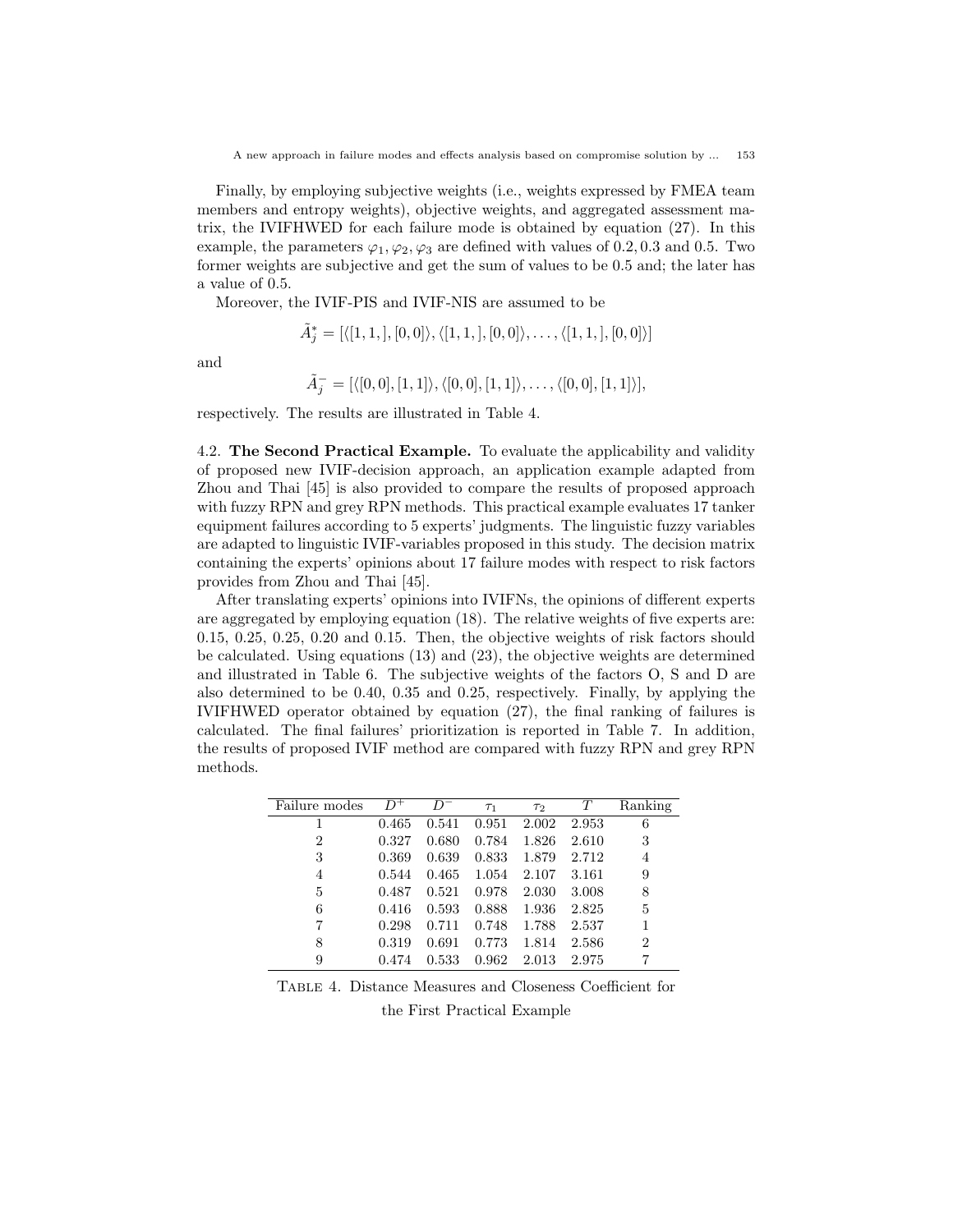Finally, by employing subjective weights (i.e., weights expressed by FMEA team members and entropy weights), objective weights, and aggregated assessment matrix, the IVIFHWED for each failure mode is obtained by equation (27). In this example, the parameters  $\varphi_1, \varphi_2, \varphi_3$  are defined with values of 0.2, 0.3 and 0.5. Two former weights are subjective and get the sum of values to be 0.5 and; the later has a value of 0.5.

Moreover, the IVIF-PIS and IVIF-NIS are assumed to be

$$
\tilde{A}_j^* = [\langle [1,1,],[0,0]\rangle, \langle [1,1,],[0,0]\rangle, \ldots, \langle [1,1,],[0,0]\rangle]
$$

and

$$
\tilde{A}_j^- = [\langle [0,0], [1,1] \rangle, \langle [0,0], [1,1] \rangle, \dots, \langle [0,0], [1,1] \rangle],
$$

respectively. The results are illustrated in Table 4.

4.2. The Second Practical Example. To evaluate the applicability and validity of proposed new IVIF-decision approach, an application example adapted from Zhou and Thai [45] is also provided to compare the results of proposed approach with fuzzy RPN and grey RPN methods. This practical example evaluates 17 tanker equipment failures according to 5 experts' judgments. The linguistic fuzzy variables are adapted to linguistic IVIF-variables proposed in this study. The decision matrix containing the experts' opinions about 17 failure modes with respect to risk factors provides from Zhou and Thai [45].

After translating experts' opinions into IVIFNs, the opinions of different experts are aggregated by employing equation (18). The relative weights of five experts are: 0.15, 0.25, 0.25, 0.20 and 0.15. Then, the objective weights of risk factors should be calculated. Using equations (13) and (23), the objective weights are determined and illustrated in Table 6. The subjective weights of the factors O, S and D are also determined to be 0.40, 0.35 and 0.25, respectively. Finally, by applying the IVIFHWED operator obtained by equation (27), the final ranking of failures is calculated. The final failures' prioritization is reported in Table 7. In addition, the results of proposed IVIF method are compared with fuzzy RPN and grey RPN methods.

| Failure modes  | $D^+$ |       | $T_1$ | $\tau_2$ | T     | Ranking        |
|----------------|-------|-------|-------|----------|-------|----------------|
|                | 0.465 | 0.541 | 0.951 | 2.002    | 2.953 | 6              |
| $\overline{2}$ | 0.327 | 0.680 | 0.784 | 1.826    | 2.610 | 3              |
| 3              | 0.369 | 0.639 | 0.833 | 1.879    | 2.712 | 4              |
| 4              | 0.544 | 0.465 | 1.054 | 2.107    | 3.161 | 9              |
| 5              | 0.487 | 0.521 | 0.978 | 2.030    | 3.008 | 8              |
| 6              | 0.416 | 0.593 | 0.888 | 1.936    | 2.825 | 5              |
| 7              | 0.298 | 0.711 | 0.748 | 1.788    | 2.537 |                |
| 8              | 0.319 | 0.691 | 0.773 | 1.814    | 2.586 | $\overline{2}$ |
| 9              | 0.474 | 0.533 | 0.962 | 2.013    | 2.975 |                |

Table 4. Distance Measures and Closeness Coefficient for

the First Practical Example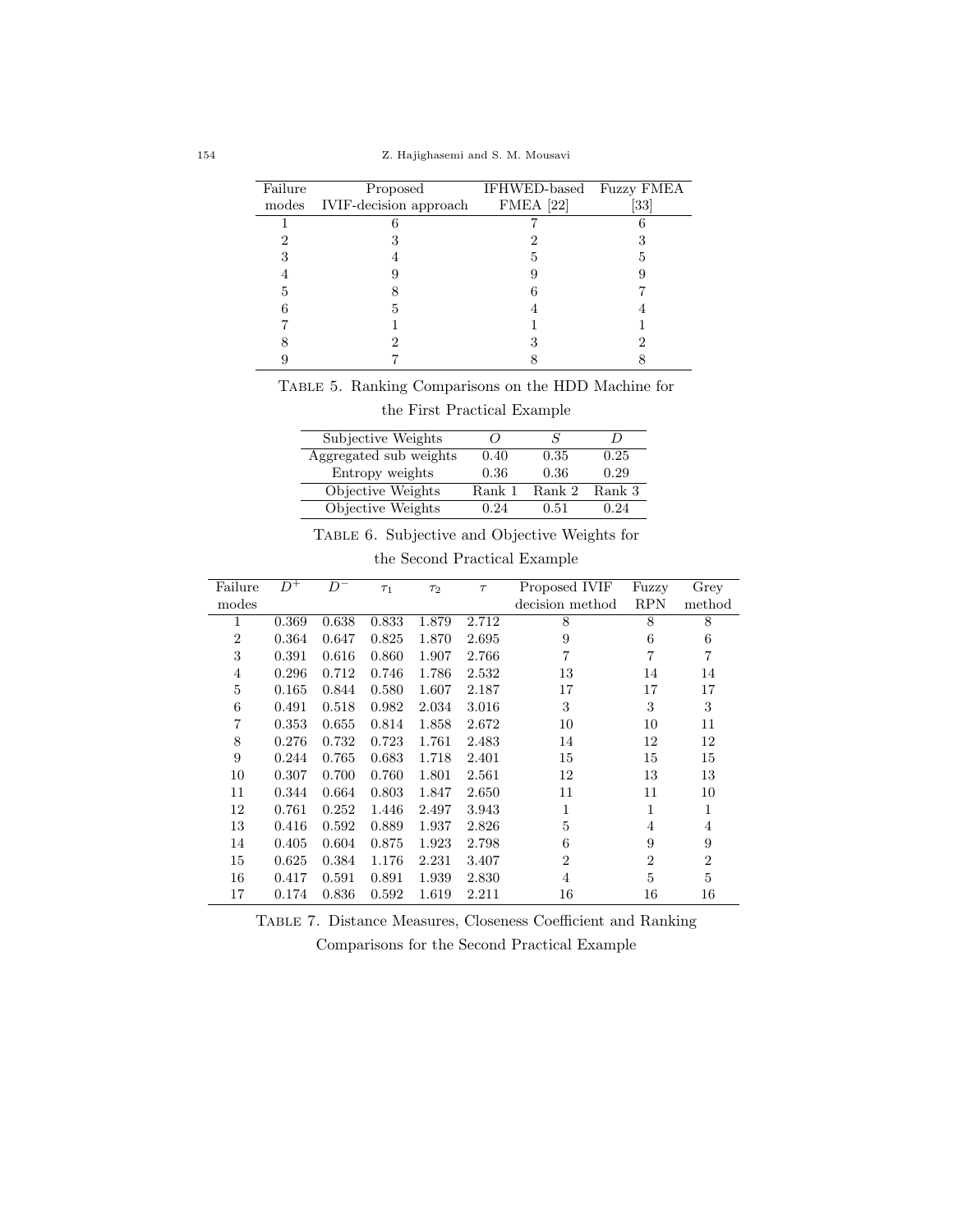| Failure | Proposed                     | IFHWED-based Fuzzy FMEA |      |
|---------|------------------------------|-------------------------|------|
|         | modes IVIF-decision approach | $FMEA$ [22]             | [33] |
|         |                              |                         |      |
|         |                              |                         |      |
|         |                              |                         |      |
|         |                              |                         |      |
|         |                              |                         |      |
|         | ה                            |                         |      |
|         |                              |                         |      |
|         |                              |                         |      |
|         |                              |                         |      |

Table 5. Ranking Comparisons on the HDD Machine for

the First Practical Example

| Subjective Weights     |        | s      |        |
|------------------------|--------|--------|--------|
| Aggregated sub weights | 0.40   | 0.35   | 0.25   |
| Entropy weights        | 0.36   | 0.36   | 0.29   |
| Objective Weights      | Rank 1 | Rank 2 | Rank 3 |
| Objective Weights      | በ 24   | 0.51   | 0.24   |

TABLE 6. Subjective and Objective Weights for

the Second Practical Example

| Failure        | $D^+$ | $D^-$ | $\tau_1$ | $\tau_2$ | $\tau$ | Proposed IVIF   | Fuzzy          | Grey           |
|----------------|-------|-------|----------|----------|--------|-----------------|----------------|----------------|
| modes          |       |       |          |          |        | decision method | <b>RPN</b>     | method         |
| 1              | 0.369 | 0.638 | 0.833    | 1.879    | 2.712  | 8               | 8              | 8              |
| $\overline{2}$ | 0.364 | 0.647 | 0.825    | 1.870    | 2.695  | 9               | 6              | 6              |
| 3              | 0.391 | 0.616 | 0.860    | 1.907    | 2.766  | $\overline{7}$  | $\overline{7}$ | $\overline{7}$ |
| 4              | 0.296 | 0.712 | 0.746    | 1.786    | 2.532  | 13              | 14             | 14             |
| 5              | 0.165 | 0.844 | 0.580    | 1.607    | 2.187  | 17              | 17             | 17             |
| 6              | 0.491 | 0.518 | 0.982    | 2.034    | 3.016  | 3               | 3              | 3              |
| 7              | 0.353 | 0.655 | 0.814    | 1.858    | 2.672  | 10              | 10             | 11             |
| 8              | 0.276 | 0.732 | 0.723    | 1.761    | 2.483  | 14              | 12             | 12             |
| 9              | 0.244 | 0.765 | 0.683    | 1.718    | 2.401  | 15              | 15             | 15             |
| 10             | 0.307 | 0.700 | 0.760    | 1.801    | 2.561  | 12              | 13             | 13             |
| 11             | 0.344 | 0.664 | 0.803    | 1.847    | 2.650  | 11              | 11             | 10             |
| 12             | 0.761 | 0.252 | 1.446    | 2.497    | 3.943  | 1               | 1              | $\mathbf{1}$   |
| 13             | 0.416 | 0.592 | 0.889    | 1.937    | 2.826  | 5               | $\overline{4}$ | 4              |
| 14             | 0.405 | 0.604 | 0.875    | 1.923    | 2.798  | 6               | 9              | 9              |
| 15             | 0.625 | 0.384 | 1.176    | 2.231    | 3.407  | $\overline{2}$  | $\overline{2}$ | $\overline{2}$ |
| 16             | 0.417 | 0.591 | 0.891    | 1.939    | 2.830  | 4               | 5              | 5              |
| 17             | 0.174 | 0.836 | 0.592    | 1.619    | 2.211  | 16              | 16             | 16             |

Table 7. Distance Measures, Closeness Coefficient and Ranking Comparisons for the Second Practical Example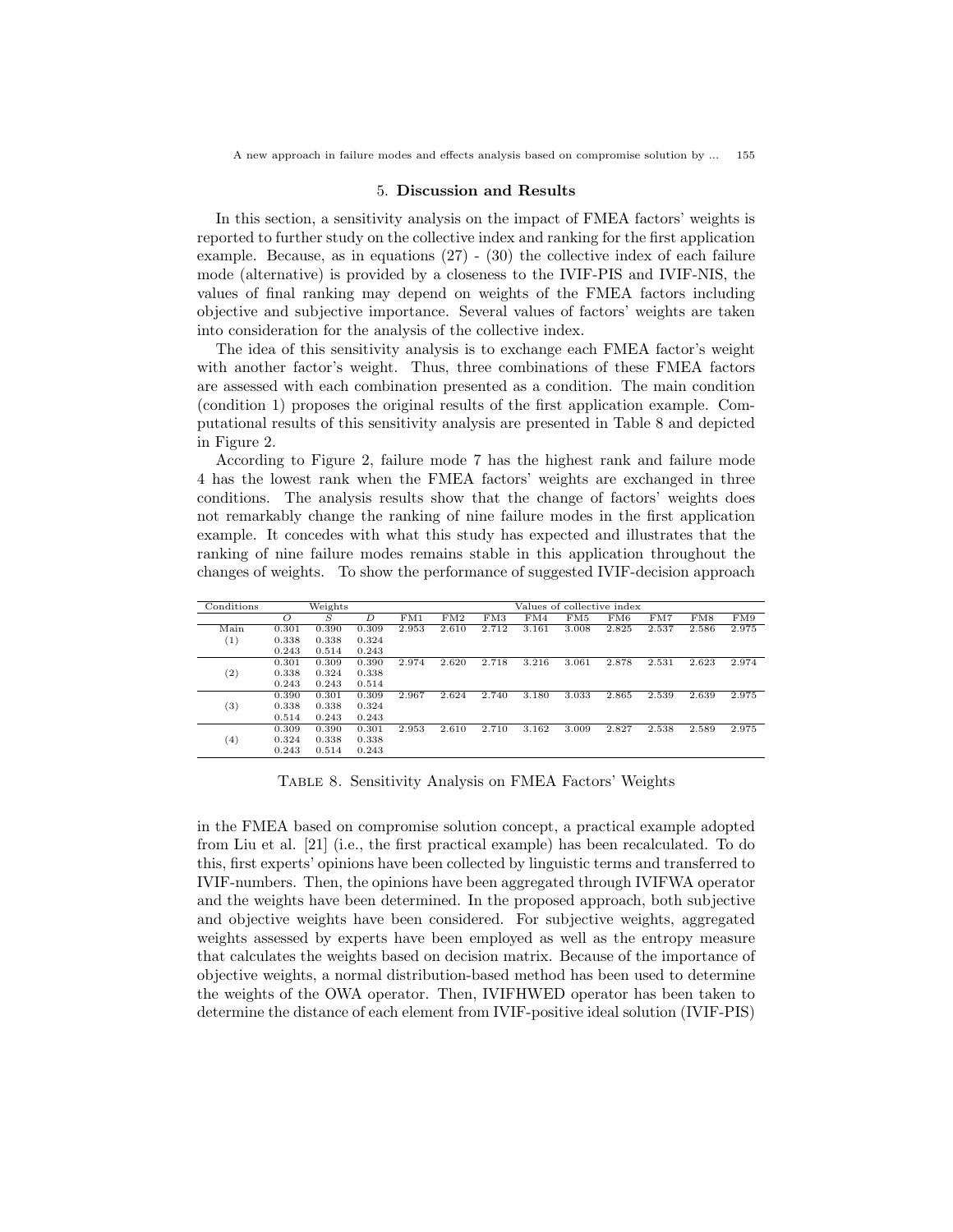A new approach in failure modes and effects analysis based on compromise solution by ... 155

#### 5. Discussion and Results

In this section, a sensitivity analysis on the impact of FMEA factors' weights is reported to further study on the collective index and ranking for the first application example. Because, as in equations (27) - (30) the collective index of each failure mode (alternative) is provided by a closeness to the IVIF-PIS and IVIF-NIS, the values of final ranking may depend on weights of the FMEA factors including objective and subjective importance. Several values of factors' weights are taken into consideration for the analysis of the collective index.

The idea of this sensitivity analysis is to exchange each FMEA factor's weight with another factor's weight. Thus, three combinations of these FMEA factors are assessed with each combination presented as a condition. The main condition (condition 1) proposes the original results of the first application example. Computational results of this sensitivity analysis are presented in Table 8 and depicted in Figure 2.

According to Figure 2, failure mode 7 has the highest rank and failure mode 4 has the lowest rank when the FMEA factors' weights are exchanged in three conditions. The analysis results show that the change of factors' weights does not remarkably change the ranking of nine failure modes in the first application example. It concedes with what this study has expected and illustrates that the ranking of nine failure modes remains stable in this application throughout the changes of weights. To show the performance of suggested IVIF-decision approach

| Conditions          |          | Weights |       | Values of collective index |       |       |       |       |       |       |       |       |
|---------------------|----------|---------|-------|----------------------------|-------|-------|-------|-------|-------|-------|-------|-------|
|                     | $\Omega$ | S       | D     | FM1                        | FM2   | FM3   | FM4   | FM5   | FM6   | FM7   | FM8   | FM9   |
| Main                | 0.301    | 0.390   | 0.309 | 2.953                      | 2.610 | 2.712 | 3.161 | 3.008 | 2.825 | 2.537 | 2.586 | 2.975 |
| $\scriptstyle{(1)}$ | 0.338    | 0.338   | 0.324 |                            |       |       |       |       |       |       |       |       |
|                     | 0.243    | 0.514   | 0.243 |                            |       |       |       |       |       |       |       |       |
|                     | 0.301    | 0.309   | 0.390 | 2.974                      | 2.620 | 2.718 | 3.216 | 3.061 | 2.878 | 2.531 | 2.623 | 2.974 |
| $^{(2)}$            | 0.338    | 0.324   | 0.338 |                            |       |       |       |       |       |       |       |       |
|                     | 0.243    | 0.243   | 0.514 |                            |       |       |       |       |       |       |       |       |
|                     | 0.390    | 0.301   | 0.309 | 2.967                      | 2.624 | 2.740 | 3.180 | 3.033 | 2.865 | 2.539 | 2.639 | 2.975 |
| $^{(3)}$            | 0.338    | 0.338   | 0.324 |                            |       |       |       |       |       |       |       |       |
|                     | 0.514    | 0.243   | 0.243 |                            |       |       |       |       |       |       |       |       |
|                     | 0.309    | 0.390   | 0.301 | 2.953                      | 2.610 | 2.710 | 3.162 | 3.009 | 2.827 | 2.538 | 2.589 | 2.975 |
| $^{(4)}$            | 0.324    | 0.338   | 0.338 |                            |       |       |       |       |       |       |       |       |
|                     | 0.243    | 0.514   | 0.243 |                            |       |       |       |       |       |       |       |       |

Table 8. Sensitivity Analysis on FMEA Factors' Weights

in the FMEA based on compromise solution concept, a practical example adopted from Liu et al. [21] (i.e., the first practical example) has been recalculated. To do this, first experts' opinions have been collected by linguistic terms and transferred to IVIF-numbers. Then, the opinions have been aggregated through IVIFWA operator and the weights have been determined. In the proposed approach, both subjective and objective weights have been considered. For subjective weights, aggregated weights assessed by experts have been employed as well as the entropy measure that calculates the weights based on decision matrix. Because of the importance of objective weights, a normal distribution-based method has been used to determine the weights of the OWA operator. Then, IVIFHWED operator has been taken to determine the distance of each element from IVIF-positive ideal solution (IVIF-PIS)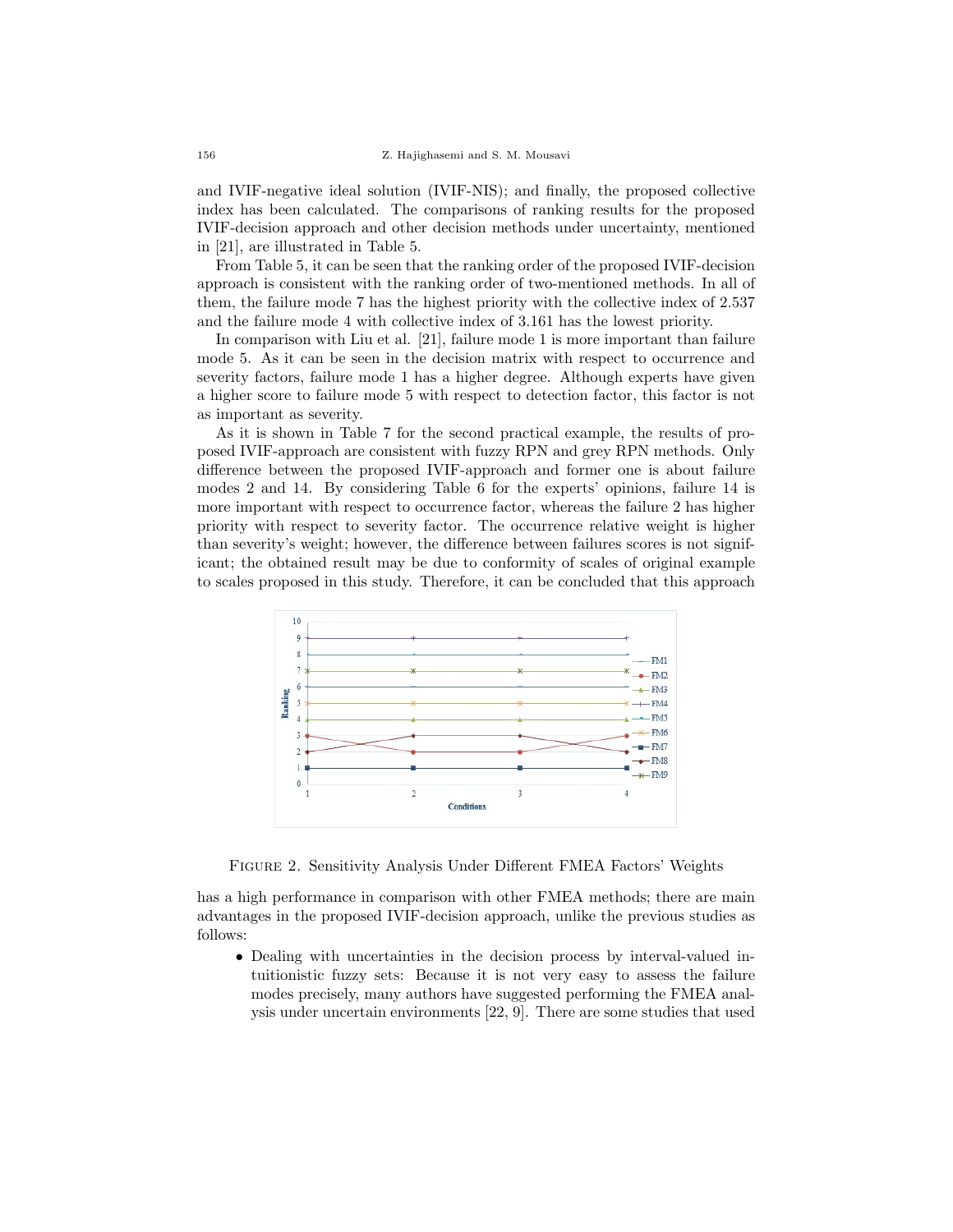and IVIF-negative ideal solution (IVIF-NIS); and finally, the proposed collective index has been calculated. The comparisons of ranking results for the proposed IVIF-decision approach and other decision methods under uncertainty, mentioned in [21], are illustrated in Table 5.

From Table 5, it can be seen that the ranking order of the proposed IVIF-decision approach is consistent with the ranking order of two-mentioned methods. In all of them, the failure mode 7 has the highest priority with the collective index of 2.537 and the failure mode 4 with collective index of 3.161 has the lowest priority.

In comparison with Liu et al. [21], failure mode 1 is more important than failure mode 5. As it can be seen in the decision matrix with respect to occurrence and severity factors, failure mode 1 has a higher degree. Although experts have given a higher score to failure mode 5 with respect to detection factor, this factor is not as important as severity.

As it is shown in Table 7 for the second practical example, the results of proposed IVIF-approach are consistent with fuzzy RPN and grey RPN methods. Only difference between the proposed IVIF-approach and former one is about failure modes 2 and 14. By considering Table 6 for the experts' opinions, failure 14 is more important with respect to occurrence factor, whereas the failure 2 has higher priority with respect to severity factor. The occurrence relative weight is higher than severity's weight; however, the difference between failures scores is not significant; the obtained result may be due to conformity of scales of original example to scales proposed in this study. Therefore, it can be concluded that this approach



Figure 2. Sensitivity Analysis Under Different FMEA Factors' Weights

has a high performance in comparison with other FMEA methods; there are main advantages in the proposed IVIF-decision approach, unlike the previous studies as follows:

• Dealing with uncertainties in the decision process by interval-valued intuitionistic fuzzy sets: Because it is not very easy to assess the failure modes precisely, many authors have suggested performing the FMEA analysis under uncertain environments [22, 9]. There are some studies that used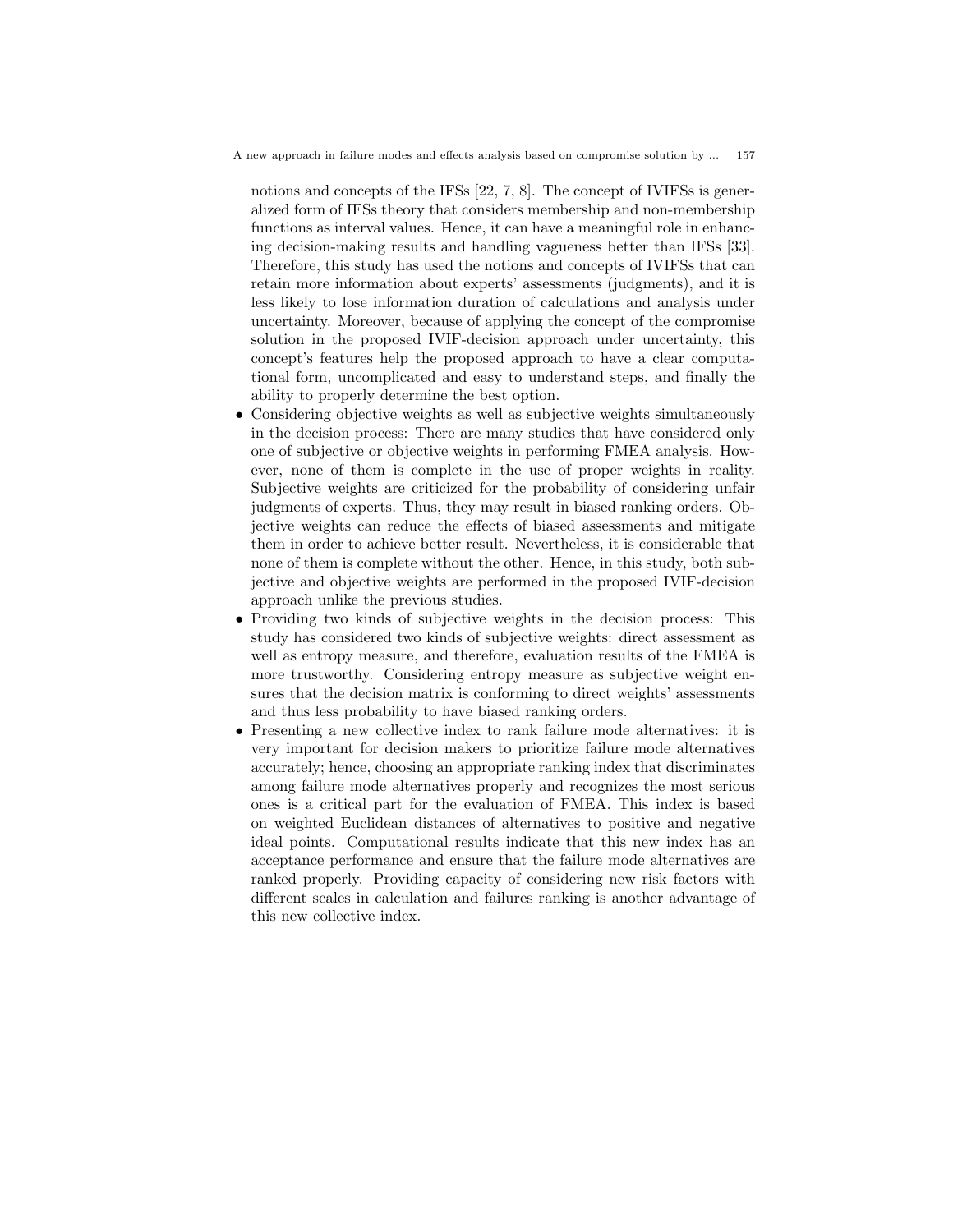A new approach in failure modes and effects analysis based on compromise solution by ... 157

notions and concepts of the IFSs [22, 7, 8]. The concept of IVIFSs is generalized form of IFSs theory that considers membership and non-membership functions as interval values. Hence, it can have a meaningful role in enhancing decision-making results and handling vagueness better than IFSs [33]. Therefore, this study has used the notions and concepts of IVIFSs that can retain more information about experts' assessments (judgments), and it is less likely to lose information duration of calculations and analysis under uncertainty. Moreover, because of applying the concept of the compromise solution in the proposed IVIF-decision approach under uncertainty, this concept's features help the proposed approach to have a clear computational form, uncomplicated and easy to understand steps, and finally the ability to properly determine the best option.

- Considering objective weights as well as subjective weights simultaneously in the decision process: There are many studies that have considered only one of subjective or objective weights in performing FMEA analysis. However, none of them is complete in the use of proper weights in reality. Subjective weights are criticized for the probability of considering unfair judgments of experts. Thus, they may result in biased ranking orders. Objective weights can reduce the effects of biased assessments and mitigate them in order to achieve better result. Nevertheless, it is considerable that none of them is complete without the other. Hence, in this study, both subjective and objective weights are performed in the proposed IVIF-decision approach unlike the previous studies.
- Providing two kinds of subjective weights in the decision process: This study has considered two kinds of subjective weights: direct assessment as well as entropy measure, and therefore, evaluation results of the FMEA is more trustworthy. Considering entropy measure as subjective weight ensures that the decision matrix is conforming to direct weights' assessments and thus less probability to have biased ranking orders.
- Presenting a new collective index to rank failure mode alternatives: it is very important for decision makers to prioritize failure mode alternatives accurately; hence, choosing an appropriate ranking index that discriminates among failure mode alternatives properly and recognizes the most serious ones is a critical part for the evaluation of FMEA. This index is based on weighted Euclidean distances of alternatives to positive and negative ideal points. Computational results indicate that this new index has an acceptance performance and ensure that the failure mode alternatives are ranked properly. Providing capacity of considering new risk factors with different scales in calculation and failures ranking is another advantage of this new collective index.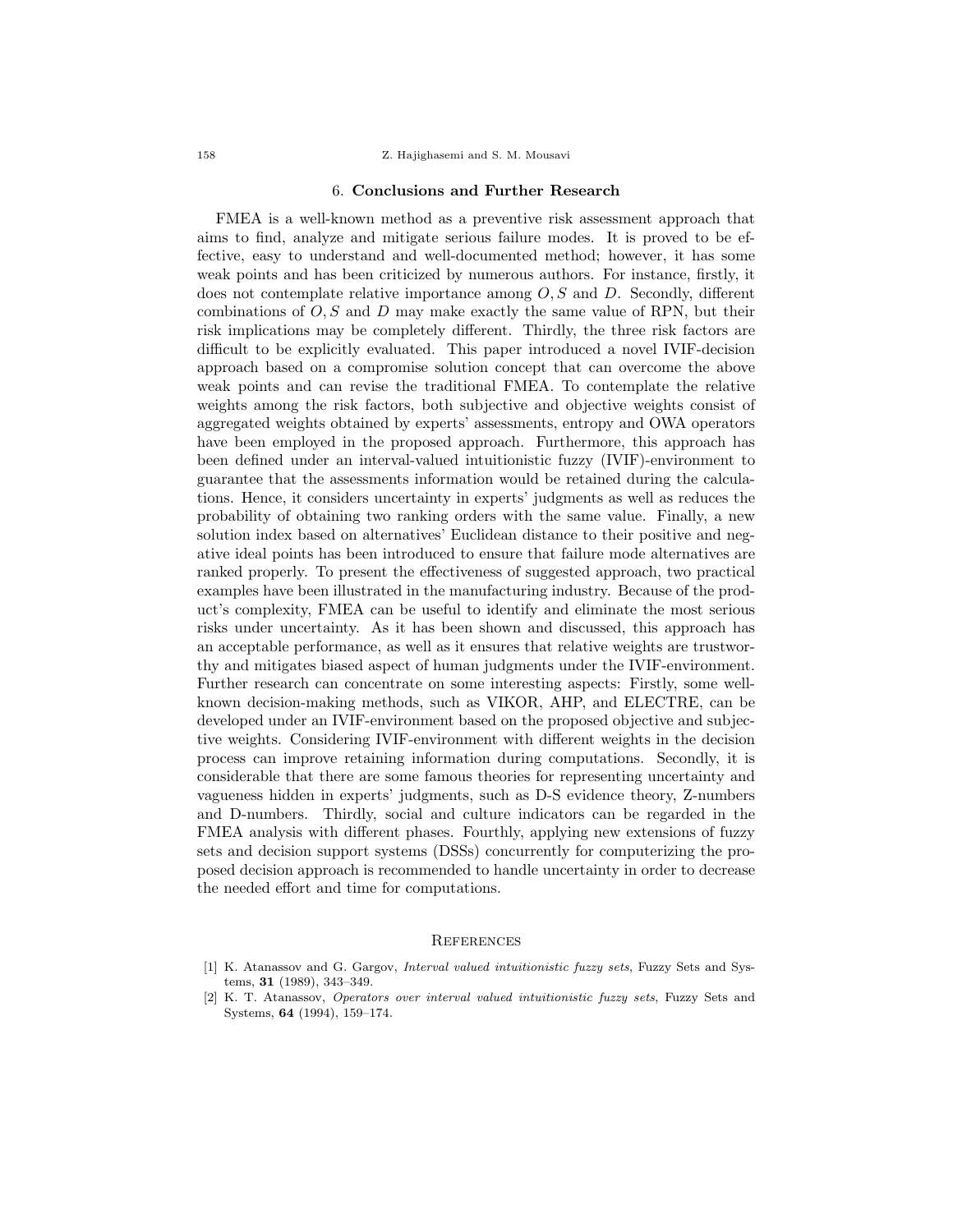#### 6. Conclusions and Further Research

FMEA is a well-known method as a preventive risk assessment approach that aims to find, analyze and mitigate serious failure modes. It is proved to be effective, easy to understand and well-documented method; however, it has some weak points and has been criticized by numerous authors. For instance, firstly, it does not contemplate relative importance among  $O, S$  and  $D$ . Secondly, different combinations of  $O, S$  and  $D$  may make exactly the same value of RPN, but their risk implications may be completely different. Thirdly, the three risk factors are difficult to be explicitly evaluated. This paper introduced a novel IVIF-decision approach based on a compromise solution concept that can overcome the above weak points and can revise the traditional FMEA. To contemplate the relative weights among the risk factors, both subjective and objective weights consist of aggregated weights obtained by experts' assessments, entropy and OWA operators have been employed in the proposed approach. Furthermore, this approach has been defined under an interval-valued intuitionistic fuzzy (IVIF)-environment to guarantee that the assessments information would be retained during the calculations. Hence, it considers uncertainty in experts' judgments as well as reduces the probability of obtaining two ranking orders with the same value. Finally, a new solution index based on alternatives' Euclidean distance to their positive and negative ideal points has been introduced to ensure that failure mode alternatives are ranked properly. To present the effectiveness of suggested approach, two practical examples have been illustrated in the manufacturing industry. Because of the product's complexity, FMEA can be useful to identify and eliminate the most serious risks under uncertainty. As it has been shown and discussed, this approach has an acceptable performance, as well as it ensures that relative weights are trustworthy and mitigates biased aspect of human judgments under the IVIF-environment. Further research can concentrate on some interesting aspects: Firstly, some wellknown decision-making methods, such as VIKOR, AHP, and ELECTRE, can be developed under an IVIF-environment based on the proposed objective and subjective weights. Considering IVIF-environment with different weights in the decision process can improve retaining information during computations. Secondly, it is considerable that there are some famous theories for representing uncertainty and vagueness hidden in experts' judgments, such as D-S evidence theory, Z-numbers and D-numbers. Thirdly, social and culture indicators can be regarded in the FMEA analysis with different phases. Fourthly, applying new extensions of fuzzy sets and decision support systems (DSSs) concurrently for computerizing the proposed decision approach is recommended to handle uncertainty in order to decrease the needed effort and time for computations.

### **REFERENCES**

[1] K. Atanassov and G. Gargov, Interval valued intuitionistic fuzzy sets, Fuzzy Sets and Systems, 31 (1989), 343–349.

<sup>[2]</sup> K. T. Atanassov, Operators over interval valued intuitionistic fuzzy sets, Fuzzy Sets and Systems, 64 (1994), 159–174.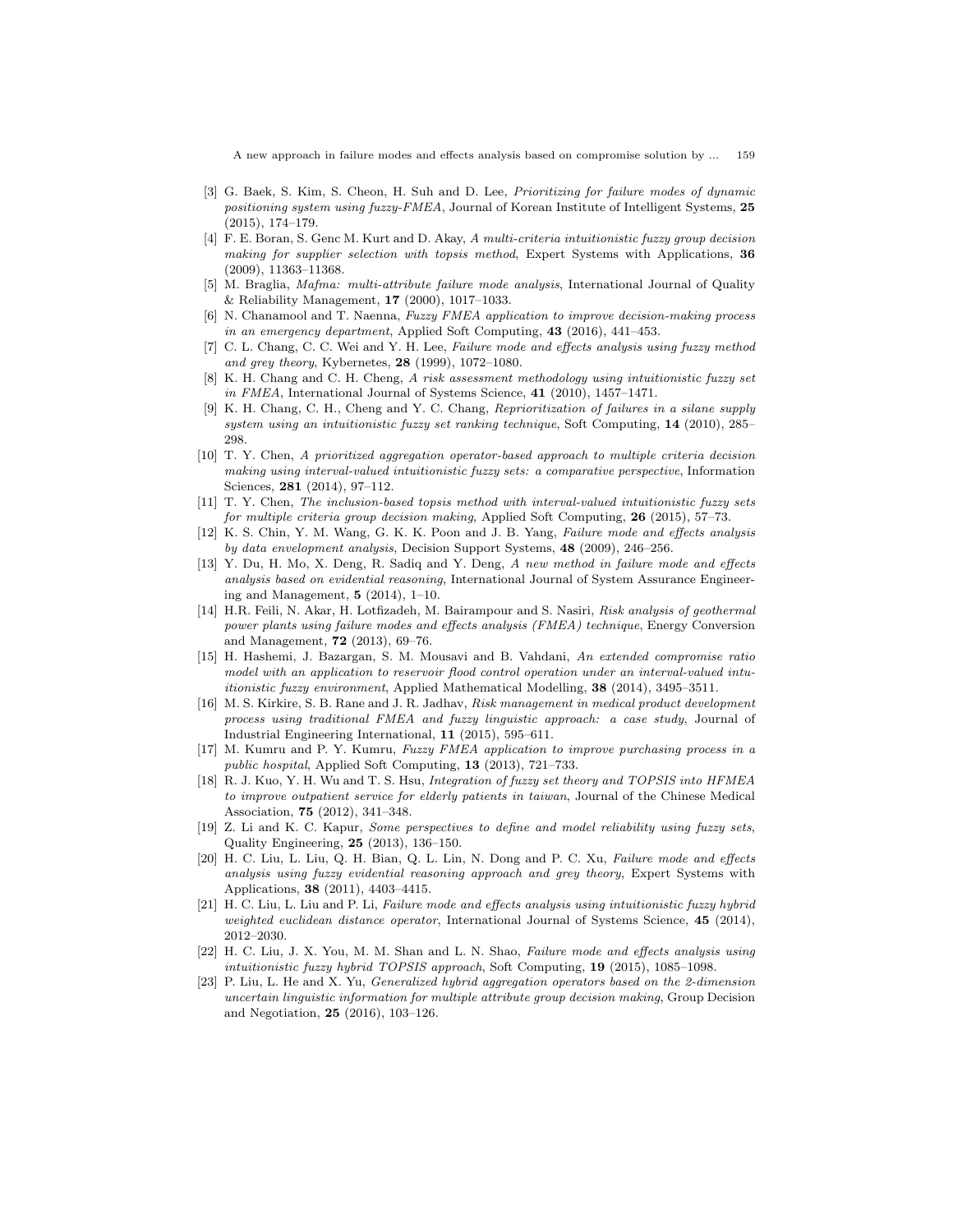A new approach in failure modes and effects analysis based on compromise solution by ... 159

- [3] G. Baek, S. Kim, S. Cheon, H. Suh and D. Lee, Prioritizing for failure modes of dynamic positioning system using fuzzy-FMEA, Journal of Korean Institute of Intelligent Systems, 25 (2015), 174–179.
- [4] F. E. Boran, S. Genc M. Kurt and D. Akay, A multi-criteria intuitionistic fuzzy group decision making for supplier selection with topsis method, Expert Systems with Applications, 36 (2009), 11363–11368.
- [5] M. Braglia, Mafma: multi-attribute failure mode analysis, International Journal of Quality & Reliability Management, 17 (2000), 1017–1033.
- [6] N. Chanamool and T. Naenna, Fuzzy FMEA application to improve decision-making process in an emergency department, Applied Soft Computing, 43 (2016), 441–453.
- [7] C. L. Chang, C. C. Wei and Y. H. Lee, Failure mode and effects analysis using fuzzy method and grey theory, Kybernetes, 28 (1999), 1072–1080.
- [8] K. H. Chang and C. H. Cheng, A risk assessment methodology using intuitionistic fuzzy set in FMEA, International Journal of Systems Science, 41 (2010), 1457–1471.
- [9] K. H. Chang, C. H., Cheng and Y. C. Chang, Reprioritization of failures in a silane supply system using an intuitionistic fuzzy set ranking technique, Soft Computing, 14 (2010), 285– 298.
- [10] T. Y. Chen, A prioritized aggregation operator-based approach to multiple criteria decision making using interval-valued intuitionistic fuzzy sets: a comparative perspective, Information Sciences, 281 (2014), 97–112.
- [11] T. Y. Chen, The inclusion-based topsis method with interval-valued intuitionistic fuzzy sets for multiple criteria group decision making, Applied Soft Computing, 26 (2015), 57–73.
- [12] K. S. Chin, Y. M. Wang, G. K. K. Poon and J. B. Yang, Failure mode and effects analysis by data envelopment analysis, Decision Support Systems, 48 (2009), 246–256.
- [13] Y. Du, H. Mo, X. Deng, R. Sadiq and Y. Deng, A new method in failure mode and effects analysis based on evidential reasoning, International Journal of System Assurance Engineering and Management, 5 (2014), 1–10.
- [14] H.R. Feili, N. Akar, H. Lotfizadeh, M. Bairampour and S. Nasiri, Risk analysis of geothermal power plants using failure modes and effects analysis (FMEA) technique, Energy Conversion and Management, 72 (2013), 69–76.
- [15] H. Hashemi, J. Bazargan, S. M. Mousavi and B. Vahdani, An extended compromise ratio model with an application to reservoir flood control operation under an interval-valued intuitionistic fuzzy environment, Applied Mathematical Modelling, 38 (2014), 3495–3511.
- [16] M. S. Kirkire, S. B. Rane and J. R. Jadhav, Risk management in medical product development process using traditional FMEA and fuzzy linguistic approach: a case study, Journal of Industrial Engineering International, 11 (2015), 595–611.
- [17] M. Kumru and P. Y. Kumru, Fuzzy FMEA application to improve purchasing process in a public hospital, Applied Soft Computing, 13 (2013), 721–733.
- [18] R. J. Kuo, Y. H. Wu and T. S. Hsu, Integration of fuzzy set theory and TOPSIS into HFMEA to improve outpatient service for elderly patients in taiwan, Journal of the Chinese Medical Association, 75 (2012), 341–348.
- [19] Z. Li and K. C. Kapur, Some perspectives to define and model reliability using fuzzy sets, Quality Engineering, 25 (2013), 136–150.
- [20] H. C. Liu, L. Liu, Q. H. Bian, Q. L. Lin, N. Dong and P. C. Xu, Failure mode and effects analysis using fuzzy evidential reasoning approach and grey theory, Expert Systems with Applications, 38 (2011), 4403–4415.
- [21] H. C. Liu, L. Liu and P. Li, Failure mode and effects analysis using intuitionistic fuzzy hybrid weighted euclidean distance operator, International Journal of Systems Science, 45 (2014), 2012–2030.
- [22] H. C. Liu, J. X. You, M. M. Shan and L. N. Shao, Failure mode and effects analysis using intuitionistic fuzzy hybrid TOPSIS approach, Soft Computing, 19 (2015), 1085–1098.
- [23] P. Liu, L. He and X. Yu, Generalized hybrid aggregation operators based on the 2-dimension uncertain linguistic information for multiple attribute group decision making, Group Decision and Negotiation, 25 (2016), 103–126.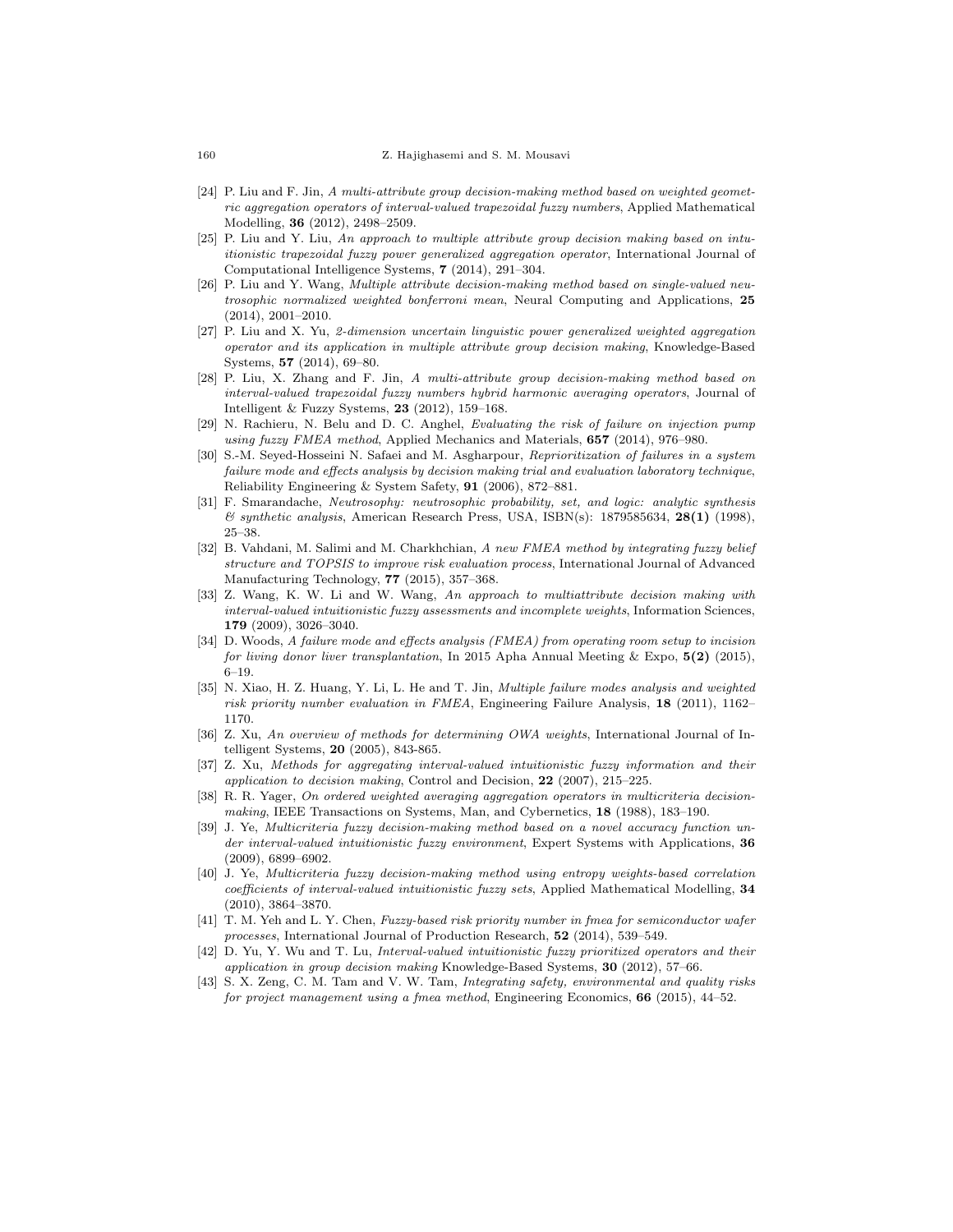- [24] P. Liu and F. Jin, A multi-attribute group decision-making method based on weighted geometric aggregation operators of interval-valued trapezoidal fuzzy numbers, Applied Mathematical Modelling, 36 (2012), 2498–2509.
- [25] P. Liu and Y. Liu, An approach to multiple attribute group decision making based on intuitionistic trapezoidal fuzzy power generalized aggregation operator, International Journal of Computational Intelligence Systems, 7 (2014), 291–304.
- [26] P. Liu and Y. Wang, Multiple attribute decision-making method based on single-valued neutrosophic normalized weighted bonferroni mean, Neural Computing and Applications, 25 (2014), 2001–2010.
- [27] P. Liu and X. Yu, 2-dimension uncertain linguistic power generalized weighted aggregation operator and its application in multiple attribute group decision making, Knowledge-Based Systems, 57 (2014), 69–80.
- [28] P. Liu, X. Zhang and F. Jin, A multi-attribute group decision-making method based on interval-valued trapezoidal fuzzy numbers hybrid harmonic averaging operators, Journal of Intelligent & Fuzzy Systems, 23 (2012), 159–168.
- [29] N. Rachieru, N. Belu and D. C. Anghel, Evaluating the risk of failure on injection pump using fuzzy FMEA method, Applied Mechanics and Materials, 657 (2014), 976–980.
- [30] S.-M. Seyed-Hosseini N. Safaei and M. Asgharpour, Reprioritization of failures in a system failure mode and effects analysis by decision making trial and evaluation laboratory technique, Reliability Engineering & System Safety, 91 (2006), 872–881.
- [31] F. Smarandache, Neutrosophy: neutrosophic probability, set, and logic: analytic synthesis  $\&$  synthetic analysis, American Research Press, USA, ISBN(s): 1879585634, 28(1) (1998), 25–38.
- [32] B. Vahdani, M. Salimi and M. Charkhchian, A new FMEA method by integrating fuzzy belief structure and TOPSIS to improve risk evaluation process, International Journal of Advanced Manufacturing Technology, 77 (2015), 357–368.
- [33] Z. Wang, K. W. Li and W. Wang, An approach to multiattribute decision making with interval-valued intuitionistic fuzzy assessments and incomplete weights, Information Sciences, 179 (2009), 3026–3040.
- [34] D. Woods, A failure mode and effects analysis (FMEA) from operating room setup to incision for living donor liver transplantation, In 2015 Apha Annual Meeting & Expo,  $5(2)$  (2015), 6–19.
- [35] N. Xiao, H. Z. Huang, Y. Li, L. He and T. Jin, Multiple failure modes analysis and weighted risk priority number evaluation in FMEA, Engineering Failure Analysis, 18 (2011), 1162– 1170.
- [36] Z. Xu, An overview of methods for determining OWA weights, International Journal of Intelligent Systems, 20 (2005), 843-865.
- [37] Z. Xu, Methods for aggregating interval-valued intuitionistic fuzzy information and their application to decision making, Control and Decision,  $22$  (2007), 215–225.
- R. R. Yager, On ordered weighted averaging aggregation operators in multicriteria decisionmaking, IEEE Transactions on Systems, Man, and Cybernetics, 18 (1988), 183–190.
- [39] J. Ye, Multicriteria fuzzy decision-making method based on a novel accuracy function under interval-valued intuitionistic fuzzy environment, Expert Systems with Applications, 36 (2009), 6899–6902.
- [40] J. Ye, Multicriteria fuzzy decision-making method using entropy weights-based correlation coefficients of interval-valued intuitionistic fuzzy sets, Applied Mathematical Modelling, 34 (2010), 3864–3870.
- [41] T. M. Yeh and L. Y. Chen, Fuzzy-based risk priority number in fmea for semiconductor wafer processes, International Journal of Production Research,  $52$  (2014), 539–549.
- [42] D. Yu, Y. Wu and T. Lu, Interval-valued intuitionistic fuzzy prioritized operators and their application in group decision making Knowledge-Based Systems, 30 (2012), 57–66.
- [43] S. X. Zeng, C. M. Tam and V. W. Tam, Integrating safety, environmental and quality risks for project management using a fmea method, Engineering Economics, 66 (2015), 44–52.